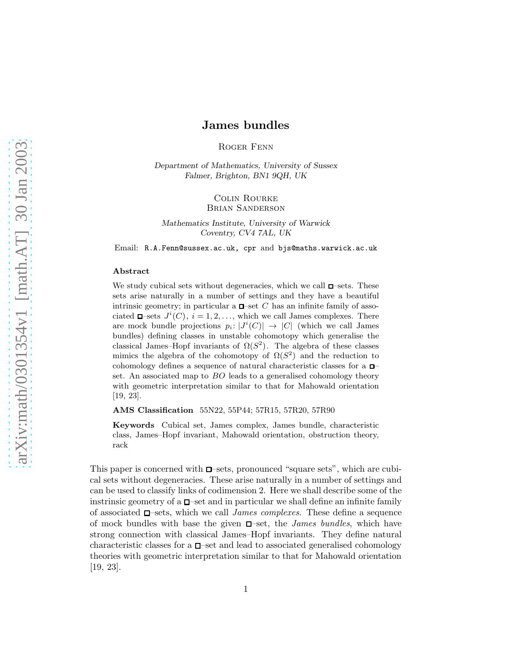# James bundles

Roger Fenn

Department of Mathematics, University of Sussex Falmer, Brighton, BN1 9QH, UK

> Colin Rourke Brian Sanderson

Mathematics Institute, University of Warwick Coventry, CV4 7AL, UK

Email: R.A.Fenn@sussex.ac.uk, cpr and bjs@maths.warwick.ac.uk

#### Abstract

We study cubical sets without degeneracies, which we call  $\Box$ -sets. These sets arise naturally in a number of settings and they have a beautiful intrinsic geometry; in particular a  $\Box$ -set C has an infinite family of associated  $\Box$ -sets  $J^i(C)$ ,  $i = 1, 2, ...,$  which we call James complexes. There are mock bundle projections  $p_i: |J^i(C)| \to |C|$  (which we call James bundles) defining classes in unstable cohomotopy which generalise the classical James–Hopf invariants of  $\Omega(S^2)$ . The algebra of these classes mimics the algebra of the cohomotopy of  $\Omega(S^2)$  and the reduction to cohomology defines a sequence of natural characteristic classes for a  $\Box$ set. An associated map to BO leads to a generalised cohomology theory with geometric interpretation similar to that for Mahowald orientation [19, 23].

AMS Classification 55N22, 55P44; 57R15, 57R20, 57R90

Keywords Cubical set, James complex, James bundle, characteristic class, James–Hopf invariant, Mahowald orientation, obstruction theory, rack

This paper is concerned with  $\Box$ -sets, pronounced "square sets", which are cubical sets without degeneracies. These arise naturally in a number of settings and can be used to classify links of codimension 2. Here we shall describe some of the instrinsic geometry of a  $\Box$ -set and in particular we shall define an infinite family of associated  $\square$ -sets, which we call *James complexes*. These define a sequence of mock bundles with base the given  $\square$ -set, the *James bundles*, which have strong connection with classical James–Hopf invariants. They define natural characteristic classes for a  $\square$ -set and lead to associated generalised cohomology theories with geometric interpretation similar to that for Mahowald orientation [19, 23].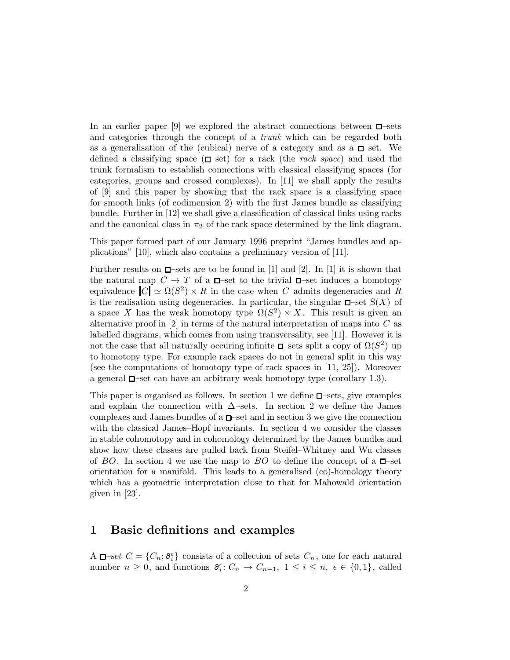In an earlier paper [9] we explored the abstract connections between  $\square$ -sets and categories through the concept of a trunk which can be regarded both as a generalisation of the (cubical) nerve of a category and as a  $\Box$ -set. We defined a classifying space  $(\Box \rightarrow set)$  for a rack (the *rack space*) and used the trunk formalism to establish connections with classical classifying spaces (for categories, groups and crossed complexes). In [11] we shall apply the results of [9] and this paper by showing that the rack space is a classifying space for smooth links (of codimension 2) with the first James bundle as classifying bundle. Further in [12] we shall give a classification of classical links using racks and the canonical class in  $\pi_2$  of the rack space determined by the link diagram.

This paper formed part of our January 1996 preprint "James bundles and applications" [10], which also contains a preliminary version of [11].

Further results on  $\Box$ -sets are to be found in [1] and [2]. In [1] it is shown that the natural map  $C \to T$  of a  $\Box$ -set to the trivial  $\Box$ -set induces a homotopy equivalence  $|C| \simeq \Omega(S^2) \times R$  in the case when C admits degeneracies and R is the realisation using degeneracies. In particular, the singular  $\square$ -set  $S(X)$  of a space X has the weak homotopy type  $\Omega(S^2) \times X$ . This result is given an alternative proof in  $[2]$  in terms of the natural interpretation of maps into C as labelled diagrams, which comes from using transversality, see [11]. However it is not the case that all naturally occuring infinite  $\square$ -sets split a copy of  $\Omega(S^2)$  up to homotopy type. For example rack spaces do not in general split in this way (see the computations of homotopy type of rack spaces in [11, 25]). Moreover a general  $\Box$ -set can have an arbitrary weak homotopy type (corollary 1.3).

This paper is organised as follows. In section 1 we define  $\Box$ -sets, give examples and explain the connection with  $\Delta$ –sets. In section 2 we define the James complexes and James bundles of a  $\Box$ -set and in section 3 we give the connection with the classical James–Hopf invariants. In section 4 we consider the classes in stable cohomotopy and in cohomology determined by the James bundles and show how these classes are pulled back from Steifel–Whitney and Wu classes of BO. In section 4 we use the map to BO to define the concept of a  $\Box$ -set orientation for a manifold. This leads to a generalised (co)-homology theory which has a geometric interpretation close to that for Mahowald orientation given in [23].

# 1 Basic definitions and examples

A  $\Box$ -set  $C = \{C_n; \partial_i^{\epsilon}\}\)$  consists of a collection of sets  $C_n$ , one for each natural number  $n \geq 0$ , and functions  $\partial_i^{\epsilon}: C_n \to C_{n-1}, 1 \leq i \leq n, \epsilon \in \{0,1\}$ , called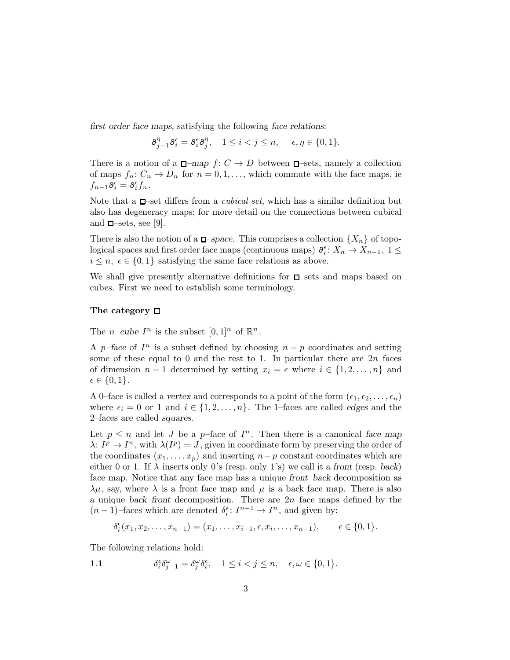*first order face maps*, satisfying the following *face relations*:

$$
\partial_{j-1}^{\eta} \partial_i^{\epsilon} = \partial_i^{\epsilon} \partial_j^{\eta}, \quad 1 \leq i < j \leq n, \quad \epsilon, \eta \in \{0, 1\}.
$$

There is a notion of a  $\Box$ -map  $f: C \to D$  between  $\Box$ -sets, namely a collection of maps  $f_n: C_n \to D_n$  for  $n = 0, 1, \ldots$ , which commute with the face maps, ie  $f_{n-1}\partial_i^{\epsilon}=\partial_i^{\epsilon}f_n$ .

Note that a  $\square$ -set differs from a *cubical set*, which has a similar definition but also has degeneracy maps; for more detail on the connections between cubical and  $\square$ -sets, see [9].

There is also the notion of a  $\Box$ -space. This comprises a collection  $\{X_n\}$  of topological spaces and first order face maps (continuous maps)  $\partial_i^{\epsilon}: X_n \to X_{n-1}, 1 \leq$  $i \leq n, \epsilon \in \{0, 1\}$  satisfying the same face relations as above.

We shall give presently alternative definitions for  $\Box$ -sets and maps based on cubes. First we need to establish some terminology.

### The category  $\Box$

The *n*-cube  $I^n$  is the subset  $[0,1]^n$  of  $\mathbb{R}^n$ .

A p–face of  $I<sup>n</sup>$  is a subset defined by choosing  $n - p$  coordinates and setting some of these equal to 0 and the rest to 1. In particular there are  $2n$  faces of dimension  $n-1$  determined by setting  $x_i = \epsilon$  where  $i \in \{1, 2, \ldots, n\}$  and  $\epsilon \in \{0,1\}.$ 

A 0–face is called a *vertex* and corresponds to a point of the form  $(\epsilon_1, \epsilon_2, \ldots, \epsilon_n)$ where  $\epsilon_i = 0$  or 1 and  $i \in \{1, 2, \ldots, n\}$ . The 1–faces are called *edges* and the 2–faces are called *squares*.

Let  $p \leq n$  and let J be a p-face of  $I<sup>n</sup>$ . Then there is a canonical face map  $\lambda: I^p \to I^n$ , with  $\lambda(I^p) = J$ , given in coordinate form by preserving the order of the coordinates  $(x_1, \ldots, x_p)$  and inserting  $n-p$  constant coordinates which are either 0 or 1. If  $\lambda$  inserts only 0's (resp. only 1's) we call it a *front* (resp. *back*) face map. Notice that any face map has a unique *front–back* decomposition as  $\lambda\mu$ , say, where  $\lambda$  is a front face map and  $\mu$  is a back face map. There is also a unique *back–front* decomposition. There are 2n face maps defined by the  $(n-1)$ -faces which are denoted  $\delta_i^{\epsilon}$ :  $I^{n-1} \to I^n$ , and given by:

$$
\delta_i^{\epsilon}(x_1, x_2, \dots, x_{n-1}) = (x_1, \dots, x_{i-1}, \epsilon, x_i, \dots, x_{n-1}), \qquad \epsilon \in \{0, 1\}.
$$

The following relations hold:

1.1 
$$
\delta_i^{\epsilon} \delta_{j-1}^{\omega} = \delta_j^{\omega} \delta_i^{\epsilon}, \quad 1 \leq i < j \leq n, \quad \epsilon, \omega \in \{0, 1\}.
$$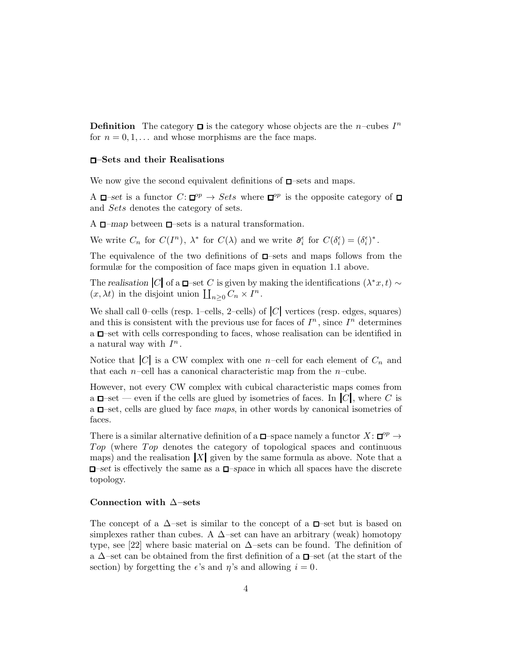**Definition** The category  $\Box$  is the category whose objects are the n–cubes  $I^n$ for  $n = 0, 1, \ldots$  and whose morphisms are the face maps.

#### –Sets and their Realisations

We now give the second equivalent definitions of  $\square$ -sets and maps.

A  $\Box$ -set is a functor  $C: \Box^{op} \to Sets$  where  $\Box^{op}$  is the opposite category of and Sets denotes the category of sets.

A  $\Box$ -map between  $\Box$ -sets is a natural transformation.

We write  $C_n$  for  $C(I^n)$ ,  $\lambda^*$  for  $C(\lambda)$  and we write  $\partial_i^{\epsilon}$  for  $C(\delta_i^{\epsilon}) = (\delta_i^{\epsilon})^*$ .

The equivalence of the two definitions of  $\square$ -sets and maps follows from the formulæ for the composition of face maps given in equation 1.1 above.

The *realisation*  $|C|$  of a  $\Box$ –set C is given by making the identifications  $(\lambda^* x, t) \sim$  $(x, \lambda t)$  in the disjoint union  $\prod_{n\geq 0} C_n \times I^n$ .

We shall call 0–cells (resp. 1–cells, 2–cells) of  $|C|$  vertices (resp. edges, squares) and this is consistent with the previous use for faces of  $I<sup>n</sup>$ , since  $I<sup>n</sup>$  determines a  $\Box$ -set with cells corresponding to faces, whose realisation can be identified in a natural way with  $I^n$ .

Notice that  $|C|$  is a CW complex with one n–cell for each element of  $C_n$  and that each  $n$ –cell has a canonical characteristic map from the  $n$ –cube.

However, not every CW complex with cubical characteristic maps comes from a  $\Box$ -set — even if the cells are glued by isometries of faces. In  $|C|$ , where C is a  $\Box$ -set, cells are glued by face maps, in other words by canonical isometries of faces.

There is a similar alternative definition of a  $\square$ -space namely a functor  $X: \square^{op} \to$ Top (where Top denotes the category of topological spaces and continuous maps) and the realisation  $|X|$  given by the same formula as above. Note that a  $\Box$ -set is effectively the same as a  $\Box$ -space in which all spaces have the discrete topology.

#### Connection with ∆–sets

The concept of a  $\Delta$ –set is similar to the concept of a  $\Box$ –set but is based on simplexes rather than cubes. A  $\Delta$ –set can have an arbitrary (weak) homotopy type, see [22] where basic material on  $\Delta$ –sets can be found. The definition of a  $\Delta$ –set can be obtained from the first definition of a  $\Box$ –set (at the start of the section) by forgetting the  $\epsilon$ 's and  $\eta$ 's and allowing  $i = 0$ .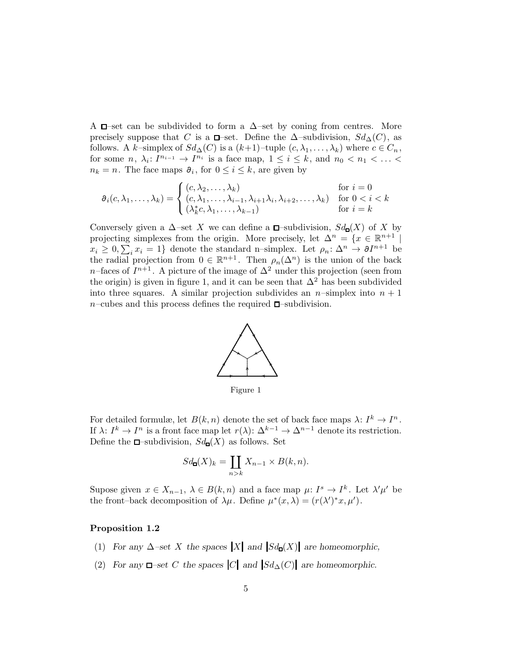A  $\Box$ –set can be subdivided to form a  $\Delta$ –set by coning from centres. More precisely suppose that C is a  $\Box$ –set. Define the  $\Delta$ –subdivision,  $Sd_{\Delta}(C)$ , as follows. A k–simplex of  $Sd_{\Delta}(C)$  is a  $(k+1)$ –tuple  $(c, \lambda_1, \ldots, \lambda_k)$  where  $c \in C_n$ , for some  $n, \lambda_i: I^{n_{i-1}} \to I^{n_i}$  is a face map,  $1 \leq i \leq k$ , and  $n_0 < n_1 < \ldots <$  $n_k = n$ . The face maps  $\partial_i$ , for  $0 \leq i \leq k$ , are given by

$$
\partial_i(c, \lambda_1, \dots, \lambda_k) = \begin{cases} (c, \lambda_2, \dots, \lambda_k) & \text{for } i = 0\\ (c, \lambda_1, \dots, \lambda_{i-1}, \lambda_{i+1}\lambda_i, \lambda_{i+2}, \dots, \lambda_k) & \text{for } 0 < i < k\\ (\lambda_k^* c, \lambda_1, \dots, \lambda_{k-1}) & \text{for } i = k \end{cases}
$$

Conversely given a  $\Delta$ –set X we can define a  $\square$ –subdivision,  $Sd_{\square}(X)$  of X by projecting simplexes from the origin. More precisely, let  $\Delta^n = \{x \in \mathbb{R}^{n+1} \mid$  $x_i \geq 0, \sum_i x_i = 1$  denote the standard n-simplex. Let  $\rho_n: \Delta^n \to \partial I^{n+1}$  be the radial projection from  $0 \in \mathbb{R}^{n+1}$ . Then  $\rho_n(\Delta^n)$  is the union of the back n–faces of  $I^{n+1}$ . A picture of the image of  $\Delta^2$  under this projection (seen from the origin) is given in figure 1, and it can be seen that  $\Delta^2$  has been subdivided into three squares. A similar projection subdivides an  $n$ -simplex into  $n + 1$  $n$ –cubes and this process defines the required  $\square$ –subdivision.



Figure 1

For detailed formulæ, let  $B(k, n)$  denote the set of back face maps  $\lambda: I^k \to I^n$ . If  $\lambda: I^k \to I^n$  is a front face map let  $r(\lambda): \Delta^{k-1} \to \Delta^{n-1}$  denote its restriction. Define the  $\Box$ -subdivision,  $Sd_{\Box}(X)$  as follows. Set

$$
Sd_{\mathbf{G}}(X)_k = \coprod_{n>k} X_{n-1} \times B(k,n).
$$

Supose given  $x \in X_{n-1}$ ,  $\lambda \in B(k, n)$  and a face map  $\mu: I^s \to I^k$ . Let  $\lambda' \mu'$  be the front–back decomposition of  $\lambda\mu$ . Define  $\mu^*(x,\lambda) = (r(\lambda')^*x,\mu')$ .

#### Proposition 1.2

- (1) *For any*  $\Delta$ -set X the spaces  $|X|$  and  $|Sd_{\mathbf{a}}(X)|$  are homeomorphic,
- (2) *For any*  $\Box$ -set *C* the spaces  $|C|$  *and*  $|Sd_{\Delta}(C)|$  *are homeomorphic.*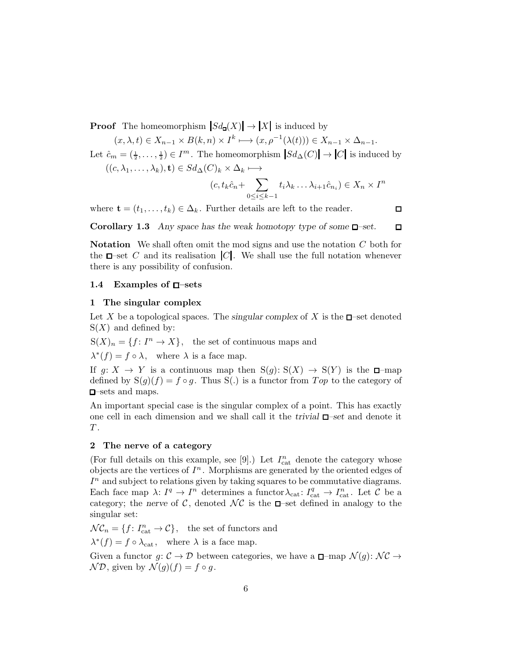**Proof** The homeomorphism  $|Sd_{\mathbf{q}}(X)| \to |X|$  is induced by

 $(x, \lambda, t) \in X_{n-1} \times B(k, n) \times I^k \longrightarrow (x, \rho^{-1}(\lambda(t))) \in X_{n-1} \times \Delta_{n-1}.$ 

Let  $\hat{c}_m = (\frac{1}{2}, \ldots, \frac{1}{2}) \in I^m$ . The homeomorphism  $|Sd_{\Delta}(C)| \to |C|$  is induced by  $((c, \lambda_1, \ldots, \lambda_k), \mathbf{t}) \in Sd_{\Delta}(C)_k \times \Delta_k \longmapsto$ 

$$
(c, t_k \hat{c}_n + \sum_{0 \le i \le k-1} t_i \lambda_k \dots \lambda_{i+1} \hat{c}_{n_i}) \in X_n \times I^n
$$

where  $\mathbf{t} = (t_1, \ldots, t_k) \in \Delta_k$ . Further details are left to the reader.

 $\Box$ 

 $\Box$ 

Corollary 1.3 *Any space has the weak homotopy type of some –set.*

**Notation** We shall often omit the mod signs and use the notation  $C$  both for the  $\Box$ -set C and its realisation  $|C|$ . We shall use the full notation whenever there is any possibility of confusion.

## 1.4 Examples of  $\Box$ -sets

#### 1 The singular complex

Let X be a topological spaces. The *singular complex* of X is the  $\Box$ -set denoted  $S(X)$  and defined by:

 $S(X)_n = \{f: I^n \to X\},\$  the set of continuous maps and

 $\lambda^*(f) = f \circ \lambda$ , where  $\lambda$  is a face map.

If  $q: X \to Y$  is a continuous map then  $S(q): S(X) \to S(Y)$  is the  $\Box$ -map defined by  $S(g)(f) = f \circ g$ . Thus S(.) is a functor from Top to the category of –sets and maps.

An important special case is the singular complex of a point. This has exactly one cell in each dimension and we shall call it the *trivial –set* and denote it  $T$  .

#### 2 The nerve of a category

(For full details on this example, see [9].) Let  $I_{\text{cat}}^n$  denote the category whose objects are the vertices of  $I<sup>n</sup>$ . Morphisms are generated by the oriented edges of  $I<sup>n</sup>$  and subject to relations given by taking squares to be commutative diagrams. Each face map  $\lambda: I^q \to I^n$  determines a functor  $\lambda_{\text{cat}}: I^q_{\text{cat}} \to I^n_{\text{cat}}$ . Let  $\mathcal C$  be a category; the *nerve* of C, denoted  $\mathcal{NC}$  is the  $\Box$ -set defined in analogy to the singular set:

 $\mathcal{NC}_n = \{f: I_{\text{cat}}^n \to \mathcal{C}\},\$  the set of functors and

 $\lambda^*(f) = f \circ \lambda_{\text{cat}}$ , where  $\lambda$  is a face map.

Given a functor  $g: \mathcal{C} \to \mathcal{D}$  between categories, we have a  $\Box$ -map  $\mathcal{N}(g): \mathcal{NC} \to$  $\mathcal{ND}$ , given by  $\mathcal{N}(g)(f) = f \circ q$ .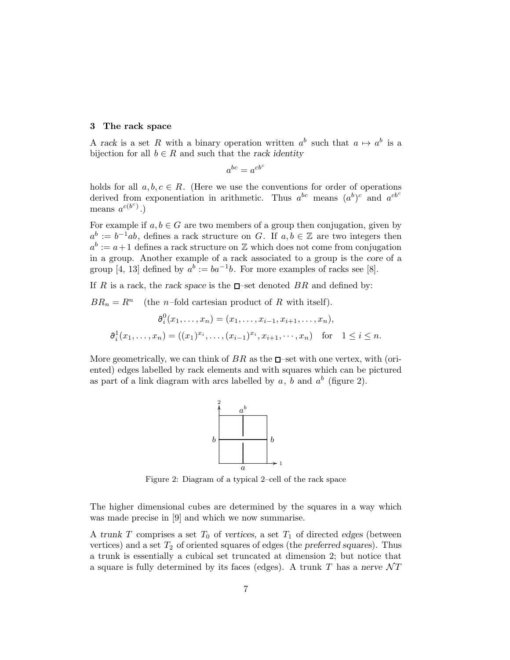#### 3 The rack space

A rack is a set R with a binary operation written  $a^b$  such that  $a \mapsto a^b$  is a bijection for all  $b \in R$  and such that the *rack identity* 

$$
a^{bc} = a^{cb^c}
$$

holds for all  $a, b, c \in R$ . (Here we use the conventions for order of operations derived from exponentiation in arithmetic. Thus  $a^{bc}$  means  $(a^b)^c$  and  $a^{cb^c}$ means  $a^{c(b^c)}$ .)

For example if  $a, b \in G$  are two members of a group then conjugation, given by  $a^b := b^{-1}ab$ , defines a rack structure on G. If  $a, b \in \mathbb{Z}$  are two integers then  $a^b := a + 1$  defines a rack structure on  $\mathbb Z$  which does not come from conjugation in a group. Another example of a rack associated to a group is the *core* of a group [4, 13] defined by  $a^b := ba^{-1}b$ . For more examples of racks see [8].

If R is a rack, the *rack space* is the  $\Box$ -set denoted BR and defined by:

 $BR_n = R^n$  (the *n*–fold cartesian product of R with itself).

$$
\partial_i^0(x_1,\ldots,x_n) = (x_1,\ldots,x_{i-1},x_{i+1},\ldots,x_n),
$$
  

$$
\partial_i^1(x_1,\ldots,x_n) = ((x_1)^{x_i},\ldots,(x_{i-1})^{x_i},x_{i+1},\ldots,x_n) \text{ for } 1 \le i \le n.
$$

More geometrically, we can think of  $BR$  as the  $\Box$ -set with one vertex, with (oriented) edges labelled by rack elements and with squares which can be pictured as part of a link diagram with arcs labelled by  $a, b$  and  $a^b$  (figure 2).



Figure 2: Diagram of a typical 2–cell of the rack space

The higher dimensional cubes are determined by the squares in a way which was made precise in [9] and which we now summarise.

A *trunk*  $T$  comprises a set  $T_0$  of *vertices*, a set  $T_1$  of directed *edges* (between vertices) and a set  $T_2$  of oriented squares of edges (the *preferred squares*). Thus a trunk is essentially a cubical set truncated at dimension 2; but notice that a square is fully determined by its faces (edges). A trunk  $T$  has a *nerve*  $\mathcal{N}T$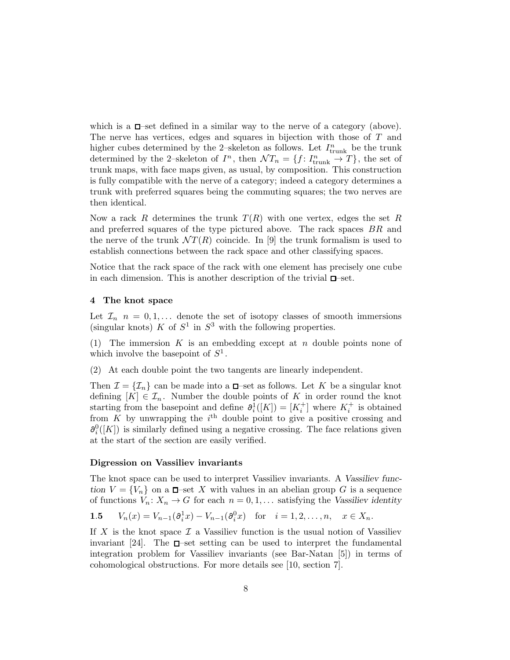which is a  $\Box$ -set defined in a similar way to the nerve of a category (above). The nerve has vertices, edges and squares in bijection with those of T and higher cubes determined by the 2–skeleton as follows. Let  $I_{\text{trunk}}^n$  be the trunk determined by the 2-skeleton of  $I^n$ , then  $\mathcal{N}T_n = \{f: I^n_{\text{trunk}} \to T\}$ , the set of trunk maps, with face maps given, as usual, by composition. This construction is fully compatible with the nerve of a category; indeed a category determines a trunk with preferred squares being the commuting squares; the two nerves are then identical.

Now a rack R determines the trunk  $T(R)$  with one vertex, edges the set R and preferred squares of the type pictured above. The rack spaces BR and the nerve of the trunk  $\mathcal{N}T(R)$  coincide. In [9] the trunk formalism is used to establish connections between the rack space and other classifying spaces.

Notice that the rack space of the rack with one element has precisely one cube in each dimension. This is another description of the trivial  $\Box$ -set.

#### 4 The knot space

Let  $\mathcal{I}_n$   $n = 0, 1, \ldots$  denote the set of isotopy classes of smooth immersions (singular knots) K of  $S^1$  in  $S^3$  with the following properties.

(1) The immersion  $K$  is an embedding except at  $n$  double points none of which involve the basepoint of  $S^1$ .

(2) At each double point the two tangents are linearly independent.

Then  $\mathcal{I} = {\mathcal{I}_n}$  can be made into a  $\Box$ -set as follows. Let K be a singular knot defining  $[K] \in \mathcal{I}_n$ . Number the double points of K in order round the knot starting from the basepoint and define  $\partial_i^1([K]) = [K_i^+]$  where  $K_i^+$  is obtained from  $K$  by unwrapping the  $i<sup>th</sup>$  double point to give a positive crossing and  $\partial_i^0([K])$  is similarly defined using a negative crossing. The face relations given at the start of the section are easily verified.

### Digression on Vassiliev invariants

The knot space can be used to interpret Vassiliev invariants. A *Vassiliev function*  $V = \{V_n\}$  on a  $\Box$ -set X with values in an abelian group G is a sequence of functions  $V_n: X_n \to G$  for each  $n = 0, 1, \ldots$  satisfying the *Vassiliev identity* 

**1.5** 
$$
V_n(x) = V_{n-1}(\partial_i^1 x) - V_{n-1}(\partial_i^0 x)
$$
 for  $i = 1, 2, ..., n, x \in X_n$ .

If X is the knot space  $\mathcal I$  a Vassiliev function is the usual notion of Vassiliev invariant [24]. The  $\Box$ -set setting can be used to interpret the fundamental integration problem for Vassiliev invariants (see Bar-Natan [5]) in terms of cohomological obstructions. For more details see [10, section 7].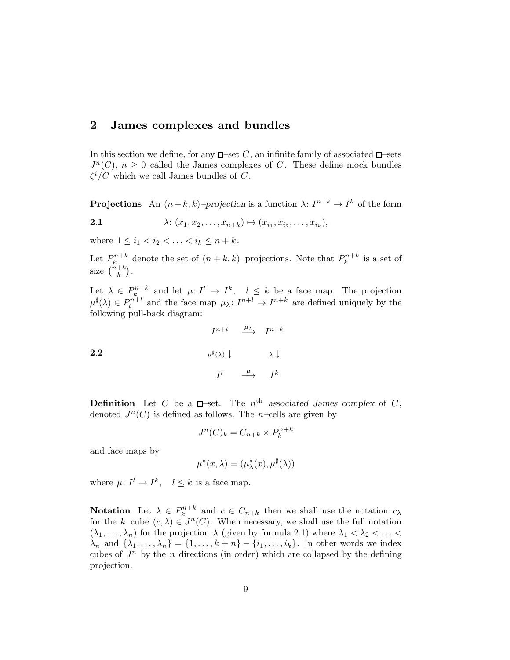# 2 James complexes and bundles

In this section we define, for any  $\Box$  set C, an infinite family of associated  $\Box$  sets  $J<sup>n</sup>(C)$ ,  $n \geq 0$  called the James complexes of C. These define mock bundles  $\zeta^i/C$  which we call James bundles of C.

**Projections** An  $(n+k, k)$ -projection is a function  $\lambda: I^{n+k} \to I^k$  of the form

2.1 
$$
\lambda: (x_1, x_2, \ldots, x_{n+k}) \mapsto (x_{i_1}, x_{i_2}, \ldots, x_{i_k}),
$$

where  $1 \le i_1 < i_2 < \ldots < i_k \le n + k$ .

Let  $P_k^{n+k}$  denote the set of  $(n+k,k)$ -projections. Note that  $P_k^{n+k}$  is a set of size  $\binom{n+k}{k}$ .

Let  $\lambda \in P_k^{n+k}$  and let  $\mu: I^l \to I^k$ ,  $l \leq k$  be a face map. The projection  $\mu^{\sharp}(\lambda) \in P_l^{n+l}$  and the face map  $\mu_{\lambda}: I^{n+l} \to I^{n+k}$  are defined uniquely by the following pull-back diagram:

2.2  

$$
I^{n+l} \xrightarrow{\mu_{\lambda}} I^{n+k}
$$

$$
\mu^{\sharp}(\lambda) \downarrow \qquad \lambda \downarrow
$$

$$
I^{l} \xrightarrow{\mu} I^{k}
$$

**Definition** Let C be a  $\Box$ -set. The  $n^{\text{th}}$  associated James complex of C, denoted  $J^n(C)$  is defined as follows. The *n*-cells are given by

$$
J^n(C)_k = C_{n+k} \times P_k^{n+k}
$$

and face maps by

$$
\mu^*(x,\lambda) = (\mu^*_{\lambda}(x),\mu^{\sharp}(\lambda))
$$

where  $\mu: I^l \to I^k$ ,  $l \leq k$  is a face map.

**Notation** Let  $\lambda \in P_k^{n+k}$  and  $c \in C_{n+k}$  then we shall use the notation  $c_{\lambda}$ for the k–cube  $(c, \lambda) \in J^n(C)$ . When necessary, we shall use the full notation  $(\lambda_1, \ldots, \lambda_n)$  for the projection  $\lambda$  (given by formula 2.1) where  $\lambda_1 < \lambda_2 < \ldots <$  $\lambda_n$  and  $\{\lambda_1,\ldots,\lambda_n\} = \{1,\ldots,k+n\} - \{i_1,\ldots,i_k\}$ . In other words we index cubes of  $J^n$  by the n directions (in order) which are collapsed by the defining projection.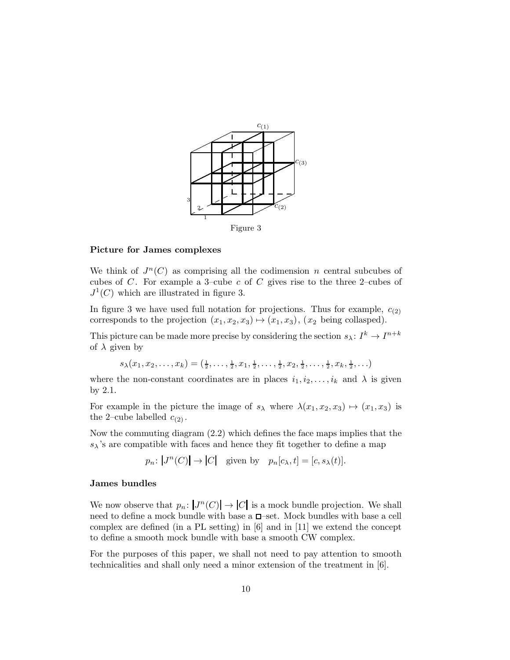

Figure 3

#### Picture for James complexes

We think of  $J<sup>n</sup>(C)$  as comprising all the codimension n central subcubes of cubes of  $C$ . For example a 3–cube  $c$  of  $C$  gives rise to the three 2–cubes of  $J^1(C)$  which are illustrated in figure 3.

In figure 3 we have used full notation for projections. Thus for example,  $c_{(2)}$ corresponds to the projection  $(x_1, x_2, x_3) \mapsto (x_1, x_3), (x_2 \text{ being collapsed}).$ 

This picture can be made more precise by considering the section  $s_{\lambda}: I^{k} \to I^{n+k}$ of  $\lambda$  given by

 $s_{\lambda}(x_1, x_2, \ldots, x_k) = (\frac{1}{2}, \ldots, \frac{1}{2}, x_1, \frac{1}{2}, \ldots, \frac{1}{2}, x_2, \frac{1}{2}, \ldots, \frac{1}{2}, x_k, \frac{1}{2}, \ldots)$ 

where the non-constant coordinates are in places  $i_1, i_2, \ldots, i_k$  and  $\lambda$  is given by 2.1.

For example in the picture the image of  $s_{\lambda}$  where  $\lambda(x_1, x_2, x_3) \mapsto (x_1, x_3)$  is the 2-cube labelled  $c_{(2)}$ .

Now the commuting diagram (2.2) which defines the face maps implies that the  $s_{\lambda}$ 's are compatible with faces and hence they fit together to define a map

 $p_n: |J^n(C)| \to |C|$  given by  $p_n[c_\lambda, t] = [c, s_\lambda(t)].$ 

#### James bundles

We now observe that  $p_n: |J^n(C)| \to |C|$  is a mock bundle projection. We shall need to define a mock bundle with base a  $\square$ -set. Mock bundles with base a cell complex are defined (in a PL setting) in [6] and in [11] we extend the concept to define a smooth mock bundle with base a smooth CW complex.

For the purposes of this paper, we shall not need to pay attention to smooth technicalities and shall only need a minor extension of the treatment in [6].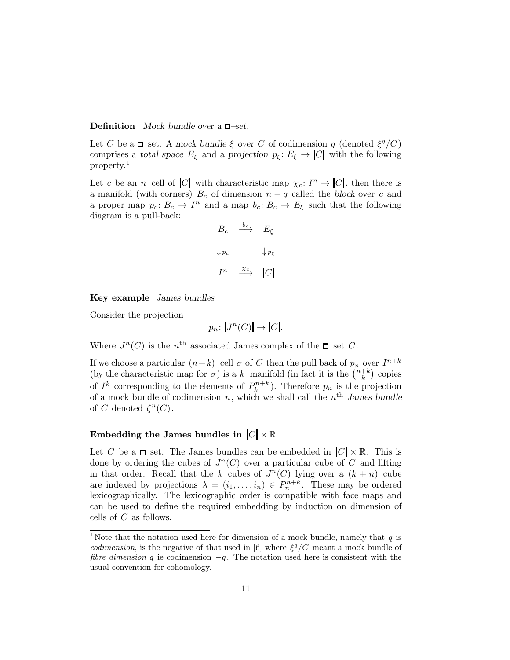#### **Definition** *Mock bundle over a* **□**−set.

Let C be a  $\Box$ -set. A mock bundle  $\xi$  over C of codimension q (denoted  $\xi^q/C$ ) comprises a *total space*  $E_{\xi}$  and a *projection*  $p_{\xi} : E_{\xi} \to |C|$  with the following property.<sup>1</sup>

Let c be an n–cell of |C| with characteristic map  $\chi_c: I^n \to |C|$ , then there is a manifold (with corners)  $B_c$  of dimension  $n - q$  called the *block* over c and a proper map  $p_c: B_c \to I^n$  and a map  $b_c: B_c \to E_{\xi}$  such that the following diagram is a pull-back:

$$
B_c \xrightarrow{b_c} E_{\xi}
$$
  

$$
\downarrow_{P_c} \qquad \downarrow_{P_{\xi}}
$$
  

$$
I^n \xrightarrow{\chi_c} |C|
$$

Key example *James bundles*

Consider the projection

$$
p_n\colon |J^n(C)| \to |C|.
$$

Where  $J^n(C)$  is the  $n^{\text{th}}$  associated James complex of the  $\Box$ -set C.

If we choose a particular  $(n+k)$ -cell  $\sigma$  of C then the pull back of  $p_n$  over  $I^{n+k}$ (by the characteristic map for  $\sigma$ ) is a k-manifold (in fact it is the  $\binom{n+k}{k}$  copies k of  $I^k$  corresponding to the elements of  $P_k^{n+k}$ ). Therefore  $p_n$  is the projection of a mock bundle of codimension  $n$ , which we shall call the  $n<sup>th</sup>$  *James bundle* of C denoted  $\zeta^{n}(C)$ .

# Embedding the James bundles in  $|C| \times \mathbb{R}$

Let C be a  $\Box$ -set. The James bundles can be embedded in  $|C| \times \mathbb{R}$ . This is done by ordering the cubes of  $J<sup>n</sup>(C)$  over a particular cube of C and lifting in that order. Recall that the k-cubes of  $J<sup>n</sup>(C)$  lying over a  $(k + n)$ -cube are indexed by projections  $\lambda = (i_1, \ldots, i_n) \in P_n^{n+k}$ . These may be ordered lexicographically. The lexicographic order is compatible with face maps and can be used to define the required embedding by induction on dimension of cells of C as follows.

<sup>&</sup>lt;sup>1</sup>Note that the notation used here for dimension of a mock bundle, namely that  $q$  is *codimension*, is the negative of that used in [6] where  $\xi^q/C$  meant a mock bundle of fibre dimension q ie codimension  $-q$ . The notation used here is consistent with the usual convention for cohomology.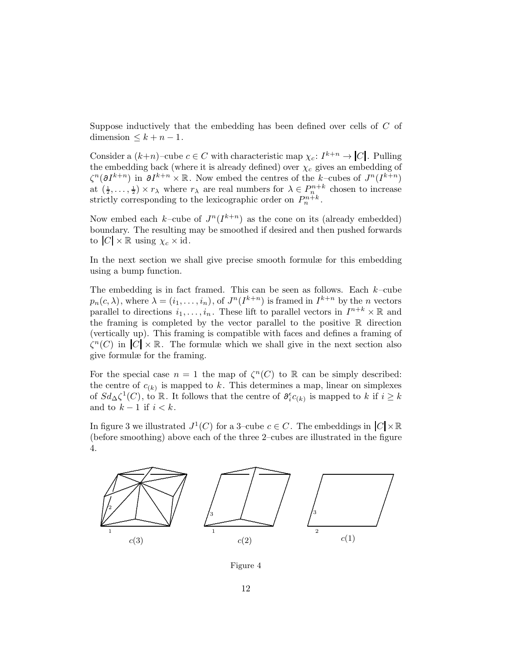Suppose inductively that the embedding has been defined over cells of  $C$  of dimension  $\leq k + n - 1$ .

Consider a  $(k+n)$ -cube  $c \in C$  with characteristic map  $\chi_c: I^{k+n} \to |C|$ . Pulling the embedding back (where it is already defined) over  $\chi_c$  gives an embedding of  $\zeta^{n}(\partial I^{k+n})$  in  $\partial I^{k+n} \times \mathbb{R}$ . Now embed the centres of the k-cubes of  $J^{n}(I^{k+n})$ at  $(\frac{1}{2}, \ldots, \frac{1}{2}) \times r_{\lambda}$  where  $r_{\lambda}$  are real numbers for  $\lambda \in P_{n}^{n+k}$  chosen to increase strictly corresponding to the lexicographic order on  $P_n^{n+k}$ .

Now embed each k-cube of  $J^n(I^{k+n})$  as the cone on its (already embedded) boundary. The resulting may be smoothed if desired and then pushed forwards to  $|C| \times \mathbb{R}$  using  $\chi_c \times id$ .

In the next section we shall give precise smooth formulæ for this embedding using a bump function.

The embedding is in fact framed. This can be seen as follows. Each  $k$ -cube  $p_n(c, \lambda)$ , where  $\lambda = (i_1, \ldots, i_n)$ , of  $J^n(I^{k+n})$  is framed in  $I^{k+n}$  by the *n* vectors parallel to directions  $i_1, \ldots, i_n$ . These lift to parallel vectors in  $I^{n+k} \times \mathbb{R}$  and the framing is completed by the vector parallel to the positive  $\mathbb R$  direction (vertically up). This framing is compatible with faces and defines a framing of  $\zeta^{n}(C)$  in  $|C| \times \mathbb{R}$ . The formulæ which we shall give in the next section also give formulæ for the framing.

For the special case  $n = 1$  the map of  $\zeta^{n}(C)$  to R can be simply described: the centre of  $c_{(k)}$  is mapped to k. This determines a map, linear on simplexes of  $Sd_{\Delta}\zeta^1(C)$ , to R. It follows that the centre of  $\partial_i^{\epsilon}c_{(k)}$  is mapped to k if  $i \geq k$ and to  $k-1$  if  $i < k$ .

In figure 3 we illustrated  $J^1(C)$  for a 3-cube  $c \in C$ . The embeddings in  $|C| \times \mathbb{R}$ (before smoothing) above each of the three 2–cubes are illustrated in the figure 4.



Figure 4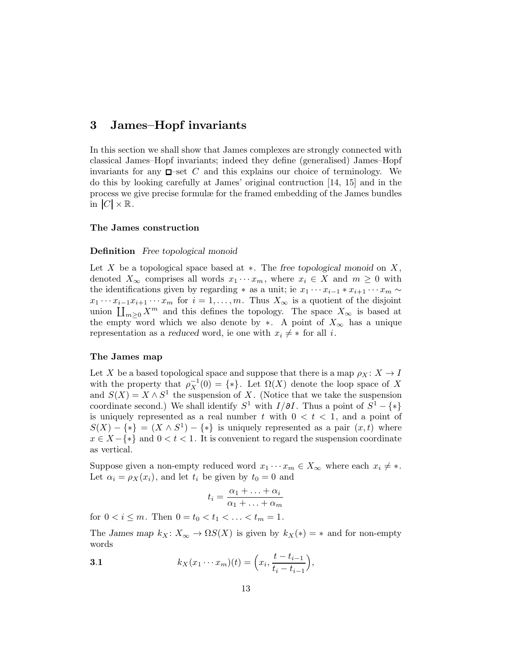# 3 James–Hopf invariants

In this section we shall show that James complexes are strongly connected with classical James–Hopf invariants; indeed they define (generalised) James–Hopf invariants for any  $\Box$ -set C and this explains our choice of terminology. We do this by looking carefully at James' original contruction [14, 15] and in the process we give precise formulæ for the framed embedding of the James bundles in  $|C| \times \mathbb{R}$ .

#### The James construction

#### Definition *Free topological monoid*

Let X be a topological space based at ∗. The *free topological monoid* on X , denoted  $X_{\infty}$  comprises all words  $x_1 \cdots x_m$ , where  $x_i \in X$  and  $m \geq 0$  with the identifications given by regarding  $*$  as a unit; ie  $x_1 \cdots x_{i-1} * x_{i+1} \cdots x_m \sim$  $x_1 \cdots x_{i-1} x_{i+1} \cdots x_m$  for  $i = 1, \ldots, m$ . Thus  $X_\infty$  is a quotient of the disjoint union  $\prod_{m\geq 0} X^m$  and this defines the topology. The space  $X_{\infty}$  is based at the empty word which we also denote by  $\ast$ . A point of  $X_{\infty}$  has a unique representation as a *reduced* word, ie one with  $x_i \neq *$  for all *i*.

#### The James map

Let X be a based topological space and suppose that there is a map  $\rho_X \colon X \to I$ with the property that  $\rho_X^{-1}(0) = \{*\}$ . Let  $\Omega(X)$  denote the loop space of X and  $S(X) = X \wedge S^1$  the suspension of X. (Notice that we take the suspension coordinate second.) We shall identify  $S^1$  with  $I/\partial I$ . Thus a point of  $S^1 - \{*\}$ is uniquely represented as a real number t with  $0 < t < 1$ , and a point of  $S(X) - \{*\} = (X \wedge S^1) - \{*\}$  is uniquely represented as a pair  $(x, t)$  where  $x \in X - \{*\}$  and  $0 < t < 1$ . It is convenient to regard the suspension coordinate as vertical.

Suppose given a non-empty reduced word  $x_1 \cdots x_m \in X_\infty$  where each  $x_i \neq *$ . Let  $\alpha_i = \rho_X(x_i)$ , and let  $t_i$  be given by  $t_0 = 0$  and

$$
t_i = \frac{\alpha_1 + \ldots + \alpha_i}{\alpha_1 + \ldots + \alpha_m}
$$

for  $0 < i \leq m$ . Then  $0 = t_0 < t_1 < \ldots < t_m = 1$ .

The *James map*  $k_X \colon X_\infty \to \Omega S(X)$  is given by  $k_X(*) = *$  and for non-empty words

3.1 
$$
k_X(x_1 \cdots x_m)(t) = \left(x_i, \frac{t - t_{i-1}}{t_i - t_{i-1}}\right),
$$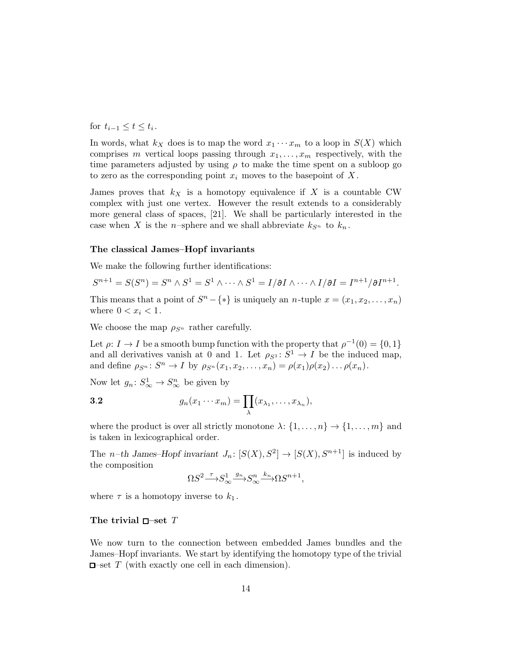for  $t_{i-1} \leq t \leq t_i$ .

In words, what  $k_X$  does is to map the word  $x_1 \cdots x_m$  to a loop in  $S(X)$  which comprises m vertical loops passing through  $x_1, \ldots, x_m$  respectively, with the time parameters adjusted by using  $\rho$  to make the time spent on a subloop go to zero as the corresponding point  $x_i$  moves to the basepoint of X.

James proves that  $k_X$  is a homotopy equivalence if X is a countable CW complex with just one vertex. However the result extends to a considerably more general class of spaces, [21]. We shall be particularly interested in the case when X is the *n*-sphere and we shall abbreviate  $k_{S_n}$  to  $k_n$ .

#### The classical James–Hopf invariants

We make the following further identifications:

$$
S^{n+1} = S(S^n) = S^n \wedge S^1 = S^1 \wedge \cdots \wedge S^1 = I/\partial I \wedge \cdots \wedge I/\partial I = I^{n+1}/\partial I^{n+1}.
$$

This means that a point of  $S<sup>n</sup> - \{*\}$  is uniquely an *n*-tuple  $x = (x_1, x_2, \dots, x_n)$ where  $0 < x_i < 1$ .

We choose the map  $\rho_{S^n}$  rather carefully.

Let  $\rho: I \to I$  be a smooth bump function with the property that  $\rho^{-1}(0) = \{0, 1\}$ and all derivatives vanish at 0 and 1. Let  $\rho_{S^1}: S^1 \to I$  be the induced map, and define  $\rho_{S^n}: S^n \to I$  by  $\rho_{S^n}(x_1, x_2, \ldots, x_n) = \rho(x_1)\rho(x_2) \ldots \rho(x_n)$ .

Now let  $g_n: S^1_{\infty} \to S^n_{\infty}$  be given by

$$
3.2 \t\t g_n(x_1 \cdots x_m) = \prod_{\lambda} (x_{\lambda_1}, \ldots, x_{\lambda_n}),
$$

where the product is over all strictly monotone  $\lambda: \{1, \ldots, n\} \to \{1, \ldots, m\}$  and is taken in lexicographical order.

The *n*-th James–Hopf invariant  $J_n: [S(X), S^2] \to [S(X), S^{n+1}]$  is induced by the composition

$$
\Omega S^2 {\mathop{\longrightarrow}^{\tau}} S^1_{\infty} {\mathop{\longrightarrow}^{\hspace{-2pt}g}} S^n_{\infty} {\mathop{\longrightarrow}^{\hspace{-2pt}k}} \Omega S^{n+1},
$$

where  $\tau$  is a homotopy inverse to  $k_1$ .

#### The trivial  $\Box$ -set T

We now turn to the connection between embedded James bundles and the James–Hopf invariants. We start by identifying the homotopy type of the trivial  $\Box$ -set T (with exactly one cell in each dimension).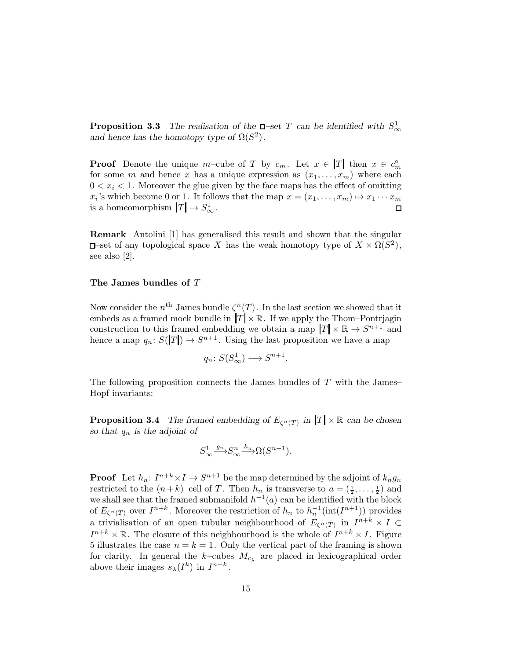**Proposition 3.3** The realisation of the  $\Box$ -set T can be identified with  $S^1_{\infty}$ and hence has the homotopy type of  $\Omega(S^2)$ .

**Proof** Denote the unique m-cube of T by  $c_m$ . Let  $x \in |T|$  then  $x \in c_m$ for some m and hence x has a unique expression as  $(x_1, \ldots, x_m)$  where each  $0 < x<sub>i</sub> < 1$ . Moreover the glue given by the face maps has the effect of omitting  $x_i$ 's which become 0 or 1. It follows that the map  $x = (x_1, \ldots, x_m) \mapsto x_1 \cdots x_m$ is a homeomorphism  $|T| \to S^1_{\infty}$ .  $\Box$ 

Remark Antolini [1] has generalised this result and shown that the singular –set of any topological space X has the weak homotopy type of  $X \times \Omega(S^2)$ , see also [2].

#### The James bundles of T

Now consider the  $n^{\text{th}}$  James bundle  $\zeta^{n}(T)$ . In the last section we showed that it embeds as a framed mock bundle in  $|T| \times \mathbb{R}$ . If we apply the Thom–Pontrjagin construction to this framed embedding we obtain a map  $|T| \times \mathbb{R} \to S^{n+1}$  and hence a map  $q_n: S(|T|) \to S^{n+1}$ . Using the last proposition we have a map

$$
q_n\colon S(S^1_\infty)\longrightarrow S^{n+1}.
$$

The following proposition connects the James bundles of  $T$  with the James– Hopf invariants:

**Proposition 3.4** The framed embedding of  $E_{\zeta^n(T)}$  in  $|T| \times \mathbb{R}$  can be chosen *so that* q<sup>n</sup> *is the adjoint of*

$$
S^1_{\infty} \xrightarrow{g_n} S^n_{\infty} \xrightarrow{k_n} \Omega(S^{n+1}).
$$

**Proof** Let  $h_n: I^{n+k} \times I \to S^{n+1}$  be the map determined by the adjoint of  $k_n g_n$ restricted to the  $(n+k)$ -cell of T. Then  $h_n$  is transverse to  $a = (\frac{1}{2}, \ldots, \frac{1}{2})$  and we shall see that the framed submanifold  $h^{-1}(a)$  can be identified with the block of  $E_{\zeta^{n}(T)}$  over  $I^{n+k}$ . Moreover the restriction of  $h_n$  to  $h_n^{-1}(\text{int}(I^{n+1}))$  provides a trivialisation of an open tubular neighbourhood of  $E_{\zeta^{n}(T)}$  in  $I^{n+k} \times I \subset$  $I^{n+k} \times \mathbb{R}$ . The closure of this neighbourhood is the whole of  $I^{n+k} \times I$ . Figure 5 illustrates the case  $n = k = 1$ . Only the vertical part of the framing is shown for clarity. In general the k-cubes  $M_{c<sub>\lambda</sub>}$  are placed in lexicographical order above their images  $s_{\lambda}(I^k)$  in  $I^{n+k}$ .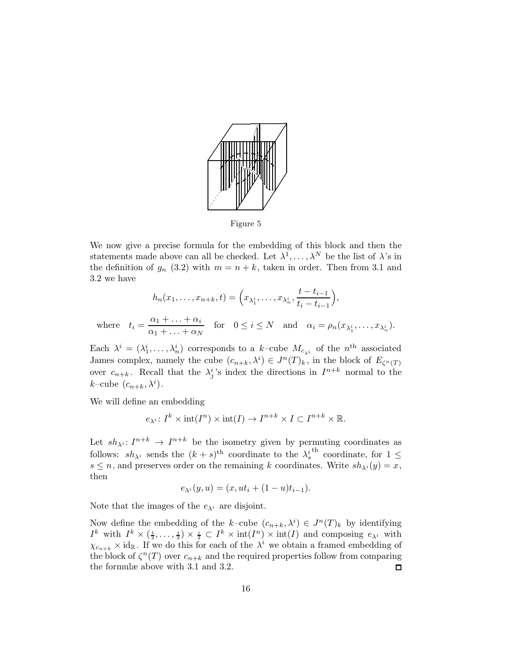

Figure 5

We now give a precise formula for the embedding of this block and then the statements made above can all be checked. Let  $\lambda^1, \ldots, \lambda^N$  be the list of  $\lambda$ 's in the definition of  $g_n$  (3.2) with  $m = n + k$ , taken in order. Then from 3.1 and 3.2 we have

$$
h_n(x_1, \dots, x_{n+k}, t) = \left(x_{\lambda_1^i}, \dots, x_{\lambda_n^i}, \frac{t - t_{i-1}}{t_i - t_{i-1}}\right),
$$
  
where  $t_i = \frac{\alpha_1 + \dots + \alpha_i}{\alpha_1 + \dots + \alpha_N}$  for  $0 \le i \le N$  and  $\alpha_i = \rho_n(x_{\lambda_1^i}, \dots, x_{\lambda_n^i}).$ 

Each  $\lambda^i = (\lambda_1^i, \dots, \lambda_n^i)$  corresponds to a k-cube  $M_{c_{\lambda^i}}$  of the  $n^{\text{th}}$  associated James complex, namely the cube  $(c_{n+k}, \lambda^i) \in J^n(T)_k$ , in the block of  $E_{\zeta^n(T)}$ over  $c_{n+k}$ . Recall that the  $\lambda_j^i$ 's index the directions in  $I^{n+k}$  normal to the  $k$ -cube  $(c_{n+k}, \lambda^i)$ .

We will define an embedding

$$
e_{\lambda^i}
$$
:  $I^k \times \text{int}(I^n) \times \text{int}(I) \to I^{n+k} \times I \subset I^{n+k} \times \mathbb{R}$ .

Let  $sh_{\lambda} : I^{n+k} \to I^{n+k}$  be the isometry given by permuting coordinates as follows:  $sh_{\lambda^i}$  sends the  $(k + s)$ <sup>th</sup> coordinate to the  $\lambda_s^{i}$ <sup>th</sup> coordinate, for  $1 \leq$  $s \leq n$ , and preserves order on the remaining k coordinates. Write  $sh_{\lambda^{i}}(y) = x$ , then

$$
e_{\lambda^{i}}(y, u) = (x, ut_{i} + (1 - u)t_{i-1}).
$$

Note that the images of the  $e_{\lambda}$  are disjoint.

Now define the embedding of the k-cube  $(c_{n+k}, \lambda^i) \in J^n(T)_k$  by identifying  $I^k$  with  $I^k \times (\frac{1}{2}, \ldots, \frac{1}{2}) \times \frac{1}{2} \subset I^k \times \text{int}(I^n) \times \text{int}(I)$  and composing  $e_{\lambda^i}$  with  $\chi_{c_{n+k}} \times id_{\mathbb{R}}$ . If we do this for each of the  $\lambda^i$  we obtain a framed embedding of the block of  $\zeta^{n}(T)$  over  $c_{n+k}$  and the required properties follow from comparing the formulæ above with 3.1 and 3.2.  $\Box$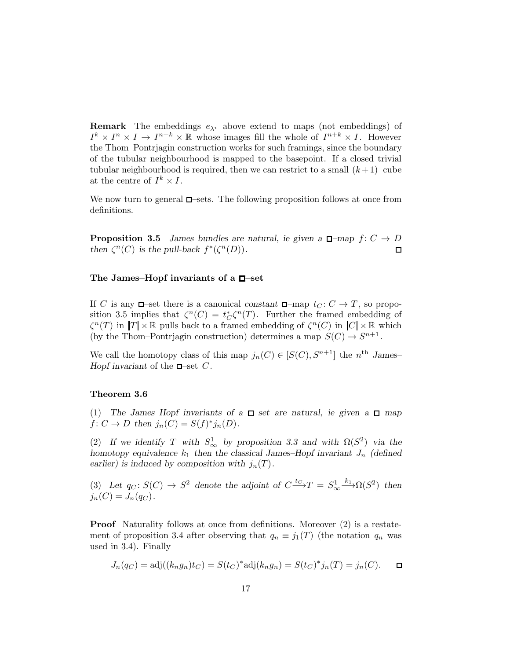**Remark** The embeddings  $e_{\lambda}$  above extend to maps (not embeddings) of  $I^k \times I^n \times I \to I^{n+k} \times \mathbb{R}$  whose images fill the whole of  $I^{n+k} \times I$ . However the Thom–Pontrjagin construction works for such framings, since the boundary of the tubular neighbourhood is mapped to the basepoint. If a closed trivial tubular neighbourhood is required, then we can restrict to a small  $(k+1)$ –cube at the centre of  $I^k \times I$ .

We now turn to general  $\square$ -sets. The following proposition follows at once from definitions.

**Proposition 3.5** *James bundles are natural, ie given a*  $\Box$ -map  $f: C \rightarrow D$ then  $\zeta^{n}(C)$  *is the pull-back*  $f^{*}(\zeta^{n}(D))$ *.*  $\Box$ 

#### The James–Hopf invariants of a  $\Box$ -set

If C is any  $\Box$ -set there is a canonical *constant*  $\Box$ -map  $t_C: C \to T$ , so proposition 3.5 implies that  $\zeta^{n}(C) = t_{C}^{*}\zeta^{n}(T)$ . Further the framed embedding of  $\zeta^{n}(T)$  in  $|T| \times \mathbb{R}$  pulls back to a framed embedding of  $\zeta^{n}(C)$  in  $|C| \times \mathbb{R}$  which (by the Thom–Pontrjagin construction) determines a map  $S(C) \to S^{n+1}$ .

We call the homotopy class of this map  $j_n(C) \in [S(C), S^{n+1}]$  the  $n^{\text{th}}$  James– *Hopf invariant* of the  $\Box$ -set C.

#### Theorem 3.6

(1) The James–Hopf invariants of a  $\Box$ -set are natural, ie given a  $\Box$ -map  $f: C \to D$  then  $j_n(C) = S(f)^* j_n(D)$ .

(2) If we identify T with  $S^1_{\infty}$  by proposition 3.3 and with  $\Omega(S^2)$  via the *homotopy equivalence*  $k_1$  *then the classical James–Hopf invariant*  $J_n$  *(defined earlier)* is induced by composition with  $j_n(T)$ .

(3) Let  $q_C: S(C) \to S^2$  denote the adjoint of  $C \xrightarrow{tc} T = S^1_{\infty} \xrightarrow{k_1} \Omega(S^2)$  then  $j_n(C) = J_n(q_C)$ .

Proof Naturality follows at once from definitions. Moreover  $(2)$  is a restatement of proposition 3.4 after observing that  $q_n \equiv j_1(T)$  (the notation  $q_n$  was used in 3.4). Finally

$$
J_n(q_C) = adj((k_n g_n)t_C) = S(t_C)^* adj(k_n g_n) = S(t_C)^* j_n(T) = j_n(C). \square
$$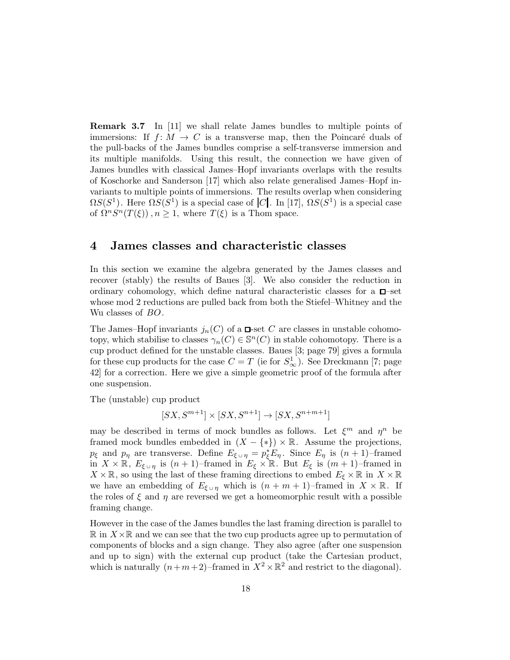**Remark 3.7** In [11] we shall relate James bundles to multiple points of immersions: If  $f: M \to C$  is a transverse map, then the Poincaré duals of the pull-backs of the James bundles comprise a self-transverse immersion and its multiple manifolds. Using this result, the connection we have given of James bundles with classical James–Hopf invariants overlaps with the results of Koschorke and Sanderson [17] which also relate generalised James–Hopf invariants to multiple points of immersions. The results overlap when considering  $\Omega S(S^1)$ . Here  $\Omega S(S^1)$  is a special case of  $|C|$ . In [17],  $\Omega S(S^1)$  is a special case of  $\Omega^n S^n(T(\xi))$ ,  $n \geq 1$ , where  $T(\xi)$  is a Thom space.

# 4 James classes and characteristic classes

In this section we examine the algebra generated by the James classes and recover (stably) the results of Baues [3]. We also consider the reduction in ordinary cohomology, which define natural characteristic classes for a  $\Box$ -set whose mod 2 reductions are pulled back from both the Stiefel–Whitney and the Wu classes of  $BO$ .

The James–Hopf invariants  $j_n(C)$  of a  $\Box$ -set C are classes in unstable cohomotopy, which stabilise to classes  $\gamma_n(C) \in \mathbb{S}^n(C)$  in stable cohomotopy. There is a cup product defined for the unstable classes. Baues [3; page 79] gives a formula for these cup products for the case  $C = T$  (ie for  $S^1_{\infty}$ ). See Dreckmann [7; page 42] for a correction. Here we give a simple geometric proof of the formula after one suspension.

The (unstable) cup product

 $\left[ SX, S^{m+1} \right] \times \left[ SX, S^{n+1} \right] \rightarrow \left[ SX, S^{n+m+1} \right]$ 

may be described in terms of mock bundles as follows. Let  $\xi^m$  and  $\eta^n$  be framed mock bundles embedded in  $(X - \{*\}) \times \mathbb{R}$ . Assume the projections,  $p_{\xi}$  and  $p_{\eta}$  are transverse. Define  $E_{\xi \cup \eta} = p_{\xi}^* E_{\eta}$ . Since  $E_{\eta}$  is  $(n+1)$ -framed in  $X \times \mathbb{R}$ ,  $E_{\xi \cup \eta}$  is  $(n+1)$ –framed in  $E_{\xi} \times \mathbb{R}$ . But  $E_{\xi}$  is  $(m+1)$ –framed in  $X \times \mathbb{R}$ , so using the last of these framing directions to embed  $E_{\xi} \times \mathbb{R}$  in  $X \times \mathbb{R}$ we have an embedding of  $E_{\xi \cup \eta}$  which is  $(n+m+1)$ –framed in  $X \times \mathbb{R}$ . If the roles of  $\xi$  and  $\eta$  are reversed we get a homeomorphic result with a possible framing change.

However in the case of the James bundles the last framing direction is parallel to  $\mathbb R$  in  $X\times\mathbb R$  and we can see that the two cup products agree up to permutation of components of blocks and a sign change. They also agree (after one suspension and up to sign) with the external cup product (take the Cartesian product, which is naturally  $(n+m+2)$ -framed in  $X^2 \times \mathbb{R}^2$  and restrict to the diagonal).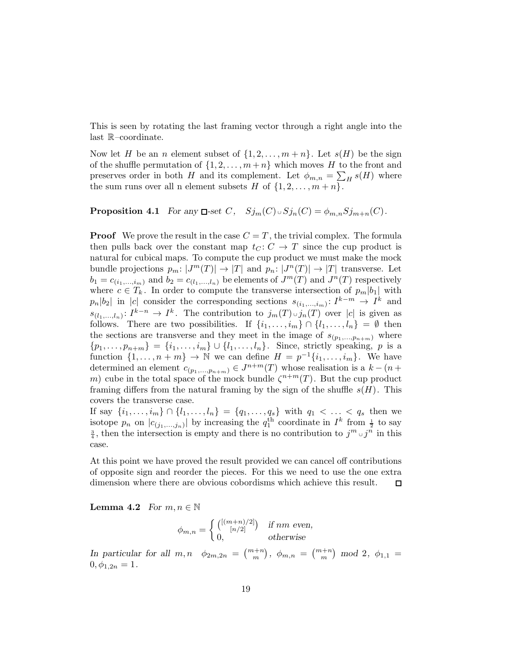This is seen by rotating the last framing vector through a right angle into the last R–coordinate.

Now let H be an n element subset of  $\{1, 2, \ldots, m+n\}$ . Let  $s(H)$  be the sign of the shuffle permutation of  $\{1, 2, \ldots, m+n\}$  which moves H to the front and preserves order in both H and its complement. Let  $\phi_{m,n} = \sum_{H} s(H)$  where the sum runs over all n element subsets H of  $\{1, 2, \ldots, m + n\}$ .

# **Proposition 4.1** *For any*  $\Box$ -set *C*,  $Sj_m(C) \cup Sj_n(C) = \phi_{m,n} Sj_{m+n}(C)$ *.*

**Proof** We prove the result in the case  $C = T$ , the trivial complex. The formula then pulls back over the constant map  $t<sub>C</sub>$ :  $C \rightarrow T$  since the cup product is natural for cubical maps. To compute the cup product we must make the mock bundle projections  $p_m: |J^m(T)| \to |T|$  and  $p_n: |J^n(T)| \to |T|$  transverse. Let  $b_1 = c_{(i_1,\ldots,i_m)}$  and  $b_2 = c_{(i_1,\ldots,i_n)}$  be elements of  $J^m(T)$  and  $J^n(T)$  respectively where  $c \in T_k$ . In order to compute the transverse intersection of  $p_m|b_1|$  with  $p_n|b_2|$  in |c| consider the corresponding sections  $s_{(i_1,...,i_m)}: I^{k-m} \to I^k$  and  $s_{(l_1,...,l_n)}: I^{k-n} \to I^k$ . The contribution to  $j_m(T) \cup j_n(T)$  over  $|c|$  is given as follows. There are two possibilities. If  $\{i_1, \ldots, i_m\} \cap \{l_1, \ldots, l_n\} = \emptyset$  then the sections are transverse and they meet in the image of  $s_{(p_1,...,p_{n+m})}$  where  $\{p_1, \ldots, p_{n+m}\} = \{i_1, \ldots, i_m\} \cup \{l_1, \ldots, l_n\}.$  Since, strictly speaking, p is a function  $\{1, \ldots, n+m\} \to \mathbb{N}$  we can define  $H = p^{-1}\{i_1, \ldots, i_m\}$ . We have determined an element  $c_{(p_1,...,p_{n+m})} \in J^{n+m}(T)$  whose realisation is a  $k - (n +$ m) cube in the total space of the mock bundle  $\zeta^{n+m}(T)$ . But the cup product framing differs from the natural framing by the sign of the shuffle  $s(H)$ . This covers the transverse case.

If say  $\{i_1, \ldots, i_m\} \cap \{l_1, \ldots, l_n\} = \{q_1, \ldots, q_s\}$  with  $q_1 < \ldots < q_s$  then we isotope  $p_n$  on  $|c_{(j_1,...,j_n)}|$  by increasing the  $q_1^{\text{th}}$  coordinate in  $I^k$  from  $\frac{1}{2}$  to say  $\frac{3}{4}$ , then the intersection is empty and there is no contribution to  $j^m \,\cup j^n$  in this case.

At this point we have proved the result provided we can cancel off contributions of opposite sign and reorder the pieces. For this we need to use the one extra dimension where there are obvious cobordisms which achieve this result. □

**Lemma 4.2** *For*  $m, n \in \mathbb{N}$ 

$$
\phi_{m,n} = \begin{cases} \binom{[(m+n)/2]}{[n/2]} & \text{if } nm \text{ even,} \\ 0, & \text{otherwise} \end{cases}
$$

*In particular for all*  $m, n \quad \phi_{2m,2n} = \binom{m+n}{m}, \ \phi_{m,n} = \binom{m+n}{m} \mod 2, \ \phi_{1,1} =$  $0, \phi_{1,2n} = 1.$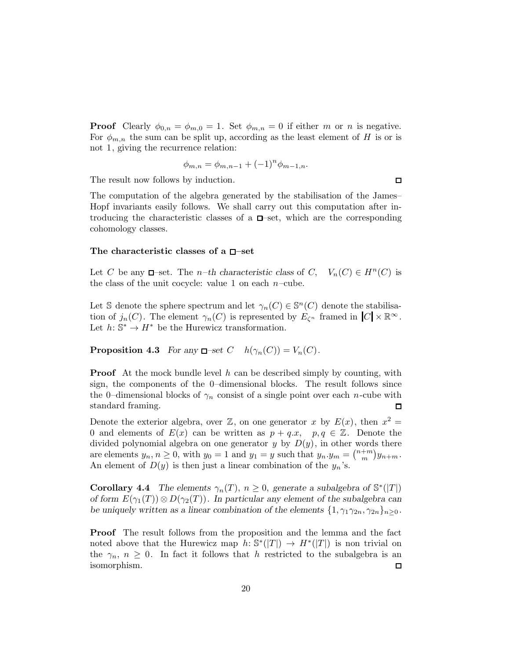**Proof** Clearly  $\phi_{0,n} = \phi_{m,0} = 1$ . Set  $\phi_{m,n} = 0$  if either m or n is negative. For  $\phi_{m,n}$  the sum can be split up, according as the least element of H is or is not 1, giving the recurrence relation:

$$
\phi_{m,n} = \phi_{m,n-1} + (-1)^n \phi_{m-1,n}.
$$

The result now follows by induction.

The computation of the algebra generated by the stabilisation of the James– Hopf invariants easily follows. We shall carry out this computation after introducing the characteristic classes of a  $\Box$ -set, which are the corresponding cohomology classes.

### The characteristic classes of a  $\square$ -set

Let C be any  $\Box$ -set. The *n*–th characteristic class of C,  $V_n(C) \in H^n(C)$  is the class of the unit cocycle: value 1 on each  $n$ -cube.

Let S denote the sphere spectrum and let  $\gamma_n(C) \in \mathbb{S}^n(C)$  denote the stabilisation of  $j_n(C)$ . The element  $\gamma_n(C)$  is represented by  $E_{\zeta^n}$  framed in  $|C| \times \mathbb{R}^{\infty}$ . Let  $h: \mathbb{S}^* \to H^*$  be the Hurewicz transformation.

**Proposition 4.3** *For any*  $\Box$ -set  $C$   $h(\gamma_n(C)) = V_n(C)$ *.* 

**Proof** At the mock bundle level h can be described simply by counting, with sign, the components of the 0–dimensional blocks. The result follows since the 0–dimensional blocks of  $\gamma_n$  consist of a single point over each *n*-cube with standard framing.  $\Box$ 

Denote the exterior algebra, over  $\mathbb{Z}$ , on one generator x by  $E(x)$ , then  $x^2 =$ 0 and elements of  $E(x)$  can be written as  $p + q.x$ ,  $p, q \in \mathbb{Z}$ . Denote the divided polynomial algebra on one generator y by  $D(y)$ , in other words there are elements  $y_n, n \ge 0$ , with  $y_0 = 1$  and  $y_1 = y$  such that  $y_n y_m = {n+m \choose m}$  $_{m}^{+m}$ )  $y_{n+m}$ . An element of  $D(y)$  is then just a linear combination of the  $y_n$ 's.

**Corollary 4.4** The elements  $\gamma_n(T)$ ,  $n \geq 0$ , generate a subalgebra of  $\mathbb{S}^*(|T|)$ *of form*  $E(\gamma_1(T)) \otimes D(\gamma_2(T))$ *. In particular any element of the subalgebra can be uniquely written as a linear combination of the elements*  $\{1, \gamma_1 \gamma_{2n}, \gamma_{2n}\}_{n \geq 0}$ *.* 

Proof The result follows from the proposition and the lemma and the fact noted above that the Hurewicz map  $h: \mathbb{S}^*(|T|) \to H^*(|T|)$  is non trivial on the  $\gamma_n$ ,  $n \geq 0$ . In fact it follows that h restricted to the subalgebra is an isomorphism. □

 $\Box$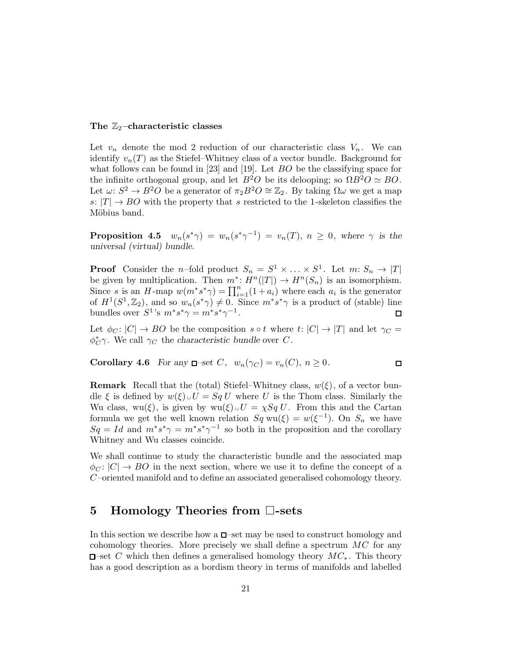## The  $\mathbb{Z}_2$ -characteristic classes

Let  $v_n$  denote the mod 2 reduction of our characteristic class  $V_n$ . We can identify  $v_n(T)$  as the Stiefel–Whitney class of a vector bundle. Background for what follows can be found in [23] and [19]. Let BO be the classifying space for the infinite orthogonal group, and let  $B^2O$  be its delooping; so  $\Omega B^2O \simeq BO$ . Let  $\omega: S^2 \to B^2O$  be a generator of  $\pi_2 B^2O \cong \mathbb{Z}_2$ . By taking  $\Omega \omega$  we get a map s:  $|T| \rightarrow BO$  with the property that s restricted to the 1-skeleton classifies the Möbius band.

**Proposition 4.5**  $w_n(s^*\gamma) = w_n(s^*\gamma^{-1}) = v_n(T), n \geq 0$ , where  $\gamma$  is the *universal (virtual) bundle.*

**Proof** Consider the *n*-fold product  $S_n = S^1 \times \ldots \times S^1$ . Let  $m: S_n \to |T|$ be given by multiplication. Then  $m^*: H^n(|T|) \to H^n(S_n)$  is an isomorphism. Since s is an H-map  $w(m^*s^*\gamma) = \prod_{i=1}^n (1 + a_i)$  where each  $a_i$  is the generator of  $H^1(S^1, \mathbb{Z}_2)$ , and so  $w_n(s^*\gamma) \neq 0$ . Since  $m^*s^*\gamma$  is a product of (stable) line bundles over  $S^1$ 's  $m^*s^*\gamma = m^*s^*\gamma^{-1}$ .  $\Box$ 

Let  $\phi_C : |C| \to BO$  be the composition s  $\circ t$  where  $t: |C| \to |T|$  and let  $\gamma_C =$  $\phi_{C}^{*}\gamma$ . We call  $\gamma_{C}$  the *characteristic bundle* over C.

 $\Box$ 

**Corollary 4.6** *For any*  $\Box$ -set *C*,  $w_n(\gamma_C) = v_n(C)$ ,  $n \geq 0$ .

**Remark** Recall that the (total) Stiefel–Whitney class,  $w(\xi)$ , of a vector bundle  $\xi$  is defined by  $w(\xi) \cup U = Sq U$  where U is the Thom class. Similarly the Wu class, wu( $\xi$ ), is given by wu( $\xi$ ) ∪  $U = \chi Sq U$ . From this and the Cartan formula we get the well known relation  $Sq \text{ wu}(\xi) = w(\xi^{-1})$ . On  $S_n$  we have  $Sq = Id$  and  $m^*s^*\gamma = m^*s^*\gamma^{-1}$  so both in the proposition and the corollary Whitney and Wu classes coincide.

We shall continue to study the characteristic bundle and the associated map  $\phi_C : |C| \to BO$  in the next section, where we use it to define the concept of a C –oriented manifold and to define an associated generalised cohomology theory.

# 5 Homology Theories from  $\square$ -sets

In this section we describe how a  $\Box$ -set may be used to construct homology and cohomology theories. More precisely we shall define a spectrum MC for any  $\Box$ —set C which then defines a generalised homology theory  $MC_*$ . This theory has a good description as a bordism theory in terms of manifolds and labelled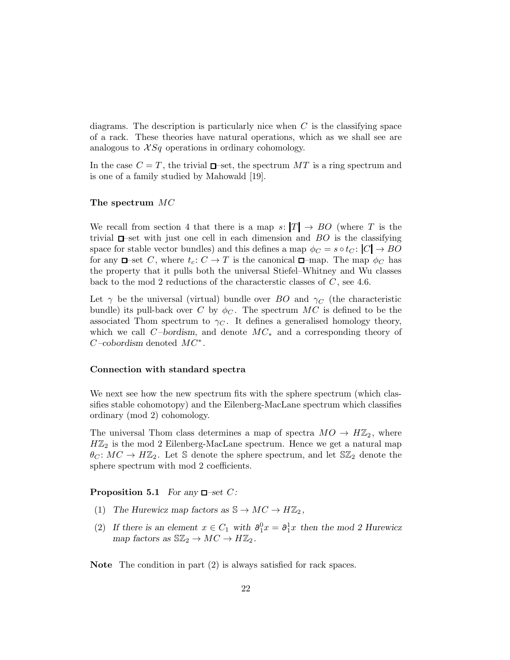diagrams. The description is particularly nice when  $C$  is the classifying space of a rack. These theories have natural operations, which as we shall see are analogous to  $XSq$  operations in ordinary cohomology.

In the case  $C = T$ , the trivial  $\Box$ -set, the spectrum MT is a ring spectrum and is one of a family studied by Mahowald [19].

#### The spectrum MC

We recall from section 4 that there is a map  $s: |T| \to BO$  (where T is the trivial  $\square$ -set with just one cell in each dimension and  $BO$  is the classifying space for stable vector bundles) and this defines a map  $\phi_C = s \circ t_C : |C| \to BO$ for any  $\Box$ -set C, where  $t_c: C \to T$  is the canonical  $\Box$ -map. The map  $\phi_C$  has the property that it pulls both the universal Stiefel–Whitney and Wu classes back to the mod 2 reductions of the characterstic classes of  $C$ , see 4.6.

Let  $\gamma$  be the universal (virtual) bundle over BO and  $\gamma_C$  (the characteristic bundle) its pull-back over C by  $\phi_C$ . The spectrum MC is defined to be the associated Thom spectrum to  $\gamma_C$ . It defines a generalised homology theory, which we call C *–bordism*, and denote MC<sup>∗</sup> and a corresponding theory of  $C$ -cobordism denoted  $MC^*$ .

#### Connection with standard spectra

We next see how the new spectrum fits with the sphere spectrum (which classifies stable cohomotopy) and the Eilenberg-MacLane spectrum which classifies ordinary (mod 2) cohomology.

The universal Thom class determines a map of spectra  $MO \to H\mathbb{Z}_2$ , where  $H\mathbb{Z}_2$  is the mod 2 Eilenberg-MacLane spectrum. Hence we get a natural map  $\theta_C: MC \to H\mathbb{Z}_2$ . Let S denote the sphere spectrum, and let S $\mathbb{Z}_2$  denote the sphere spectrum with mod 2 coefficients.

### **Proposition 5.1** *For any*  $\Box$ -set *C*:

- (1) The Hurewicz map factors as  $\mathbb{S} \to MC \to H\mathbb{Z}_2$ ,
- (2) If there is an element  $x \in C_1$  with  $\partial_1^0 x = \partial_1^1 x$  then the mod 2 Hurewicz *map factors as*  $\mathbb{S} \mathbb{Z}_2 \to MC \to H\mathbb{Z}_2$ *.*

Note The condition in part (2) is always satisfied for rack spaces.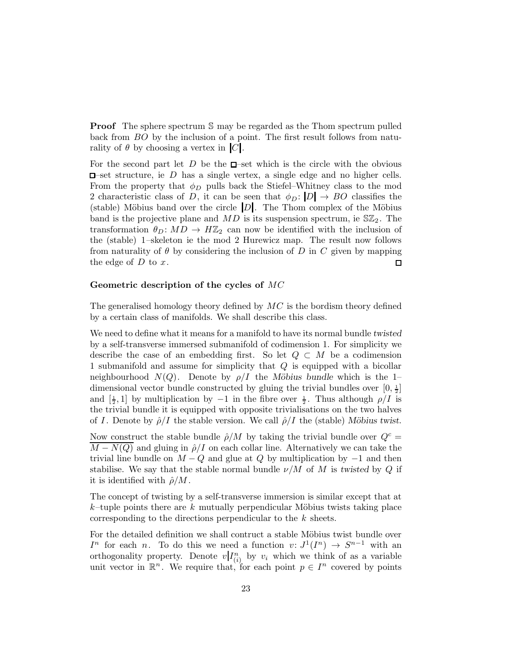**Proof** The sphere spectrum S may be regarded as the Thom spectrum pulled back from BO by the inclusion of a point. The first result follows from naturality of  $\theta$  by choosing a vertex in  $|C|$ .

For the second part let  $D$  be the  $\Box$ -set which is the circle with the obvious  $\Box$ -set structure, ie D has a single vertex, a single edge and no higher cells. From the property that  $\phi_D$  pulls back the Stiefel–Whitney class to the mod 2 characteristic class of D, it can be seen that  $\phi_D : |D| \to BO$  classifies the (stable) Möbius band over the circle  $|D|$ . The Thom complex of the Möbius band is the projective plane and  $MD$  is its suspension spectrum, ie  $\mathbb{SZ}_2$ . The transformation  $\theta_D \colon MD \to H\mathbb{Z}_2$  can now be identified with the inclusion of the (stable) 1–skeleton ie the mod 2 Hurewicz map. The result now follows from naturality of  $\theta$  by considering the inclusion of D in C given by mapping the edge of  $D$  to  $x$ .  $\Box$ 

#### Geometric description of the cycles of MC

The generalised homology theory defined by  $MC$  is the bordism theory defined by a certain class of manifolds. We shall describe this class.

We need to define what it means for a manifold to have its normal bundle *twisted* by a self-transverse immersed submanifold of codimension 1. For simplicity we describe the case of an embedding first. So let  $Q \subset M$  be a codimension 1 submanifold and assume for simplicity that Q is equipped with a bicollar neighbourhood  $N(Q)$ . Denote by  $\rho/I$  the *Möbius bundle* which is the 1– dimensional vector bundle constructed by gluing the trivial bundles over  $[0, \frac{1}{2}]$ and  $\left[\frac{1}{2},1\right]$  by multiplication by  $-1$  in the fibre over  $\frac{1}{2}$ . Thus although  $\rho/I$  is the trivial bundle it is equipped with opposite trivialisations on the two halves of I. Denote by  $\hat{\rho}/I$  the stable version. We call  $\hat{\rho}/I$  the (stable) *M*öbius twist.

Now construct the stable bundle  $\hat{\rho}/M$  by taking the trivial bundle over  $Q^c$  =  $\overline{M-N(Q)}$  and gluing in  $\hat{\rho}/I$  on each collar line. Alternatively we can take the trivial line bundle on  $M-Q$  and glue at Q by multiplication by  $-1$  and then stabilise. We say that the stable normal bundle  $\nu/M$  of M is *twisted* by Q if it is identified with  $\hat{\rho}/M$ .

The concept of twisting by a self-transverse immersion is similar except that at  $k$ –tuple points there are k mutually perpendicular Möbius twists taking place corresponding to the directions perpendicular to the k sheets.

For the detailed definition we shall contruct a stable Möbius twist bundle over  $I^n$  for each n. To do this we need a function  $v: J^1(I^n) \to S^{n-1}$  with an orthogonality property. Denote  $v|I_{(i)}^n$  by  $v_i$  which we think of as a variable unit vector in  $\mathbb{R}^n$ . We require that, for each point  $p \in I^n$  covered by points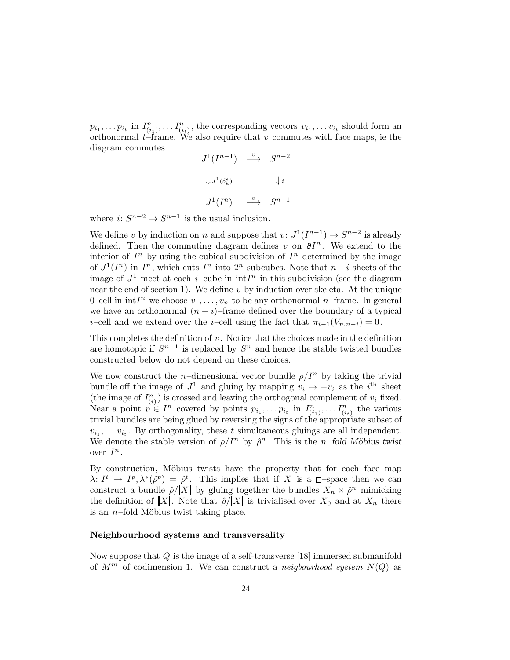$p_{i_1}, \ldots p_{i_t}$  in  $I_{(i_1)}^n, \ldots I_{(i_t)}^n$ , the corresponding vectors  $v_{i_1}, \ldots v_{i_t}$  should form an orthonormal  $t$ –frame. We also require that  $v$  commutes with face maps, ie the diagram commutes

$$
J^{1}(I^{n-1}) \xrightarrow{v} S^{n-2}
$$
  

$$
\downarrow J^{1}(\delta_{k}^{\epsilon}) \qquad \downarrow i
$$
  

$$
J^{1}(I^{n}) \xrightarrow{v} S^{n-1}
$$

where  $i: S^{n-2} \to S^{n-1}$  is the usual inclusion.

We define v by induction on n and suppose that  $v: J^1(I^{n-1}) \to S^{n-2}$  is already defined. Then the commuting diagram defines v on  $\partial I^n$ . We extend to the interior of  $I<sup>n</sup>$  by using the cubical subdivision of  $I<sup>n</sup>$  determined by the image of  $J^1(I^n)$  in  $I^n$ , which cuts  $I^n$  into  $2^n$  subcubes. Note that  $n-i$  sheets of the image of  $J^1$  meet at each *i*-cube in  $\int^n$  in this subdivision (see the diagram near the end of section 1). We define  $v$  by induction over skeleta. At the unique 0-cell in  $\int \ln I^n$  we choose  $v_1, \ldots, v_n$  to be any orthonormal *n*-frame. In general we have an orthonormal  $(n - i)$ –frame defined over the boundary of a typical i–cell and we extend over the i–cell using the fact that  $\pi_{i-1}(V_{n,n-i}) = 0$ .

This completes the definition of  $v$ . Notice that the choices made in the definition are homotopic if  $S^{n-1}$  is replaced by  $S^n$  and hence the stable twisted bundles constructed below do not depend on these choices.

We now construct the n-dimensional vector bundle  $\rho/I^n$  by taking the trivial bundle off the image of  $J^1$  and gluing by mapping  $v_i \mapsto -v_i$  as the  $i^{\text{th}}$  sheet (the image of  $I_{(i)}^n$ ) is crossed and leaving the orthogonal complement of  $v_i$  fixed. Near a point  $p \in I^n$  covered by points  $p_{i_1}, \ldots p_{i_t}$  in  $I_{(i_1)}^n, \ldots I_{(i_t)}^n$  the various trivial bundles are being glued by reversing the signs of the appropriate subset of  $v_{i_1}, \ldots v_{i_t}$ . By orthogonality, these t simultaneous gluings are all independent. We denote the stable version of  $\rho/I^n$  by  $\hat{\rho}^n$ . This is the *n*-fold Möbius twist over  $I^n$ .

By construction, Möbius twists have the property that for each face map  $\lambda: I^t \to I^p, \lambda^*(\hat{\rho}^p) = \hat{\rho}^t$ . This implies that if X is a  $\Box$ -space then we can construct a bundle  $\hat{\rho}/|X|$  by gluing together the bundles  $X_n \times \hat{\rho}^n$  mimicking the definition of |X|. Note that  $\hat{\rho}/|X|$  is trivialised over  $X_0$  and at  $X_n$  there is an  $n$ –fold Möbius twist taking place.

### Neighbourhood systems and transversality

Now suppose that Q is the image of a self-transverse [18] immersed submanifold of  $M^m$  of codimension 1. We can construct a neigbourhood system  $N(Q)$  as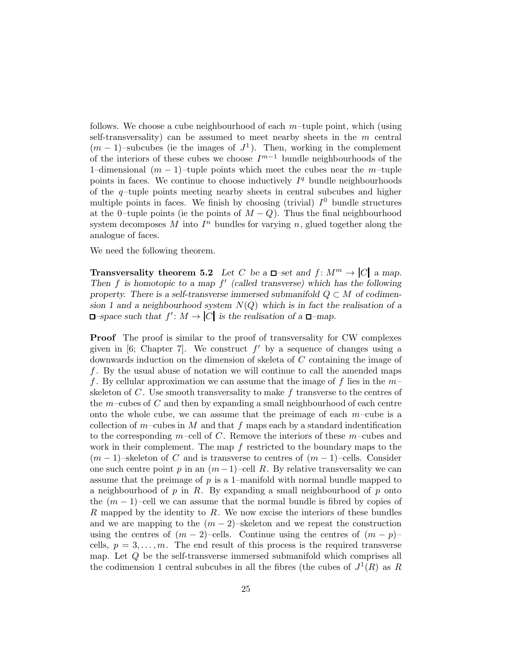follows. We choose a cube neighbourhood of each  $m$ -tuple point, which (using self-transversality) can be assumed to meet nearby sheets in the  $m$  central  $(m-1)$ –subcubes (ie the images of  $J^1$ ). Then, working in the complement of the interiors of these cubes we choose  $I^{m-1}$  bundle neighbourhoods of the 1–dimensional  $(m - 1)$ –tuple points which meet the cubes near the m–tuple points in faces. We continue to choose inductively  $I<sup>q</sup>$  bundle neighbourhoods of the  $q$ -tuple points meeting nearby sheets in central subcubes and higher multiple points in faces. We finish by choosing (trivial)  $I^0$  bundle structures at the 0–tuple points (ie the points of  $M-Q$ ). Thus the final neighbourhood system decomposes  $M$  into  $I<sup>n</sup>$  bundles for varying n, glued together along the analogue of faces.

We need the following theorem.

**Transversality theorem 5.2** *Let C be a*  $\Box$ -set and  $f: M^m \to |C|$  *a map. Then* f *is homotopic to a map* f ′ *(called transverse) which has the following property.* There is a self-transverse immersed submanifold  $Q \subset M$  *of codimension 1 and a neighbourhood system* N(Q) *which is in fact the realisation of a*  $-space \text{ such that } f': M \to |C| \text{ is the realisation of a } \Box - map.$ 

**Proof** The proof is similar to the proof of transversality for CW complexes given in [6; Chapter 7]. We construct  $f'$  by a sequence of changes using a downwards induction on the dimension of skeleta of C containing the image of  $f$ . By the usual abuse of notation we will continue to call the amended maps f. By cellular approximation we can assume that the image of f lies in the  $m$ skeleton of  $C$ . Use smooth transversality to make  $f$  transverse to the centres of the  $m$ -cubes of C and then by expanding a small neighbourhood of each centre onto the whole cube, we can assume that the preimage of each  $m$ –cube is a collection of  $m$ –cubes in M and that f maps each by a standard indentification to the corresponding m–cell of C. Remove the interiors of these  $m$ –cubes and work in their complement. The map  $f$  restricted to the boundary maps to the  $(m-1)$ –skeleton of C and is transverse to centres of  $(m-1)$ –cells. Consider one such centre point p in an  $(m-1)$ –cell R. By relative transversality we can assume that the preimage of  $p$  is a 1–manifold with normal bundle mapped to a neighbourhood of p in R. By expanding a small neighbourhood of p onto the  $(m-1)$ –cell we can assume that the normal bundle is fibred by copies of R mapped by the identity to R. We now excise the interiors of these bundles and we are mapping to the  $(m-2)$ –skeleton and we repeat the construction using the centres of  $(m-2)$ –cells. Continue using the centres of  $(m-p)$ – cells,  $p = 3, \ldots, m$ . The end result of this process is the required transverse map. Let  $Q$  be the self-transverse immersed submanifold which comprises all the codimension 1 central subcubes in all the fibres (the cubes of  $J^1(R)$  as R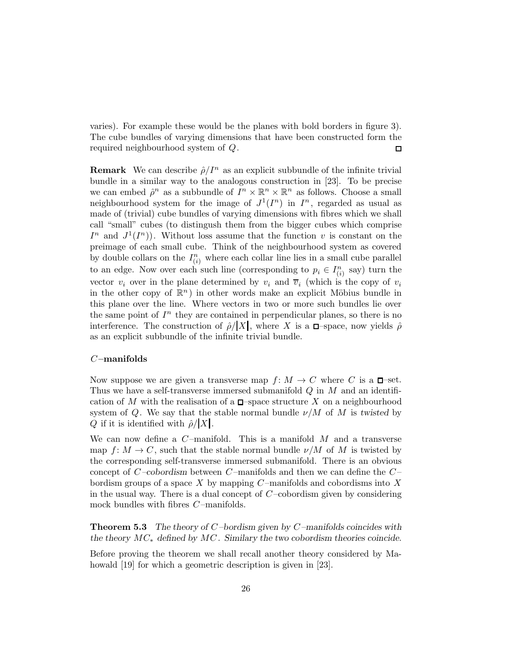varies). For example these would be the planes with bold borders in figure 3). The cube bundles of varying dimensions that have been constructed form the required neighbourhood system of Q.  $\Box$ 

**Remark** We can describe  $\hat{\rho}/I^n$  as an explicit subbundle of the infinite trivial bundle in a similar way to the analogous construction in [23]. To be precise we can embed  $\hat{\rho}^n$  as a subbundle of  $I^n \times \mathbb{R}^n \times \mathbb{R}^n$  as follows. Choose a small neighbourhood system for the image of  $J^1(I^n)$  in  $I^n$ , regarded as usual as made of (trivial) cube bundles of varying dimensions with fibres which we shall call "small" cubes (to distingush them from the bigger cubes which comprise  $I^n$  and  $J^1(I^n)$ ). Without loss assume that the function v is constant on the preimage of each small cube. Think of the neighbourhood system as covered by double collars on the  $I_{(i)}^n$  where each collar line lies in a small cube parallel to an edge. Now over each such line (corresponding to  $p_i \in I_{(i)}^n$  say) turn the vector  $v_i$  over in the plane determined by  $v_i$  and  $\overline{v}_i$  (which is the copy of  $v_i$ in the other copy of  $\mathbb{R}^n$ ) in other words make an explicit Möbius bundle in this plane over the line. Where vectors in two or more such bundles lie over the same point of  $I<sup>n</sup>$  they are contained in perpendicular planes, so there is no interference. The construction of  $\hat{\rho}/|X|$ , where X is a  $\Box$ -space, now yields  $\hat{\rho}$ as an explicit subbundle of the infinite trivial bundle.

### $C$ -manifolds

Now suppose we are given a transverse map  $f: M \to C$  where C is a  $\Box$ -set. Thus we have a self-transverse immersed submanifold  $Q$  in  $M$  and an identification of M with the realisation of a  $\Box$ -space structure X on a neighbourhood system of Q. We say that the stable normal bundle  $\nu/M$  of M is *twisted* by Q if it is identified with  $\rho/|X|$ .

We can now define a  $C$ -manifold. This is a manifold  $M$  and a transverse map  $f: M \to C$ , such that the stable normal bundle  $\nu/M$  of M is twisted by the corresponding self-transverse immersed submanifold. There is an obvious concept of  $C$ -cobordism between  $C$ -manifolds and then we can define the  $C$ bordism groups of a space X by mapping  $C$ -manifolds and cobordisms into X in the usual way. There is a dual concept of  $C$ -cobordism given by considering mock bundles with fibres  $C$ -manifolds.

Theorem 5.3 *The theory of* C *–bordism given by* C *–manifolds coincides with the theory* MC<sup>∗</sup> *defined by* MC *. Similary the two cobordism theories coincide.*

Before proving the theorem we shall recall another theory considered by Mahowald [19] for which a geometric description is given in [23].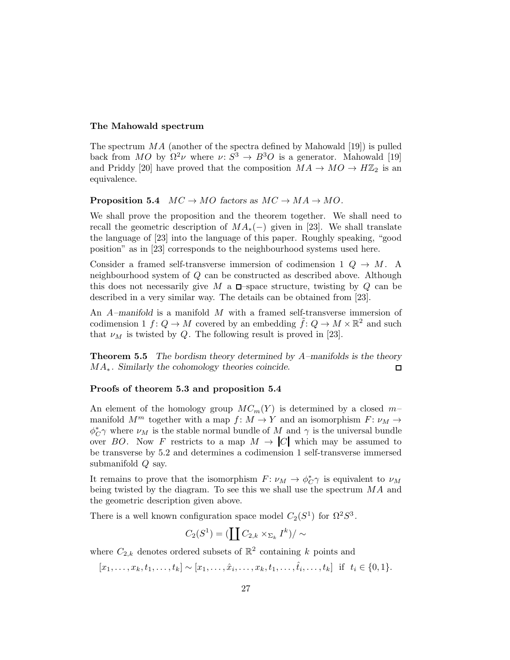#### The Mahowald spectrum

The spectrum  $MA$  (another of the spectra defined by Mahowald [19]) is pulled back from MO by  $\Omega^2 \nu$  where  $\nu: S^3 \to B^3O$  is a generator. Mahowald [19] and Priddy [20] have proved that the composition  $MA \rightarrow MO \rightarrow H\mathbb{Z}_2$  is an equivalence.

### **Proposition 5.4**  $MC \rightarrow MO$  *factors as*  $MC \rightarrow MA \rightarrow MO$ *.*

We shall prove the proposition and the theorem together. We shall need to recall the geometric description of  $MA_*(-)$  given in [23]. We shall translate the language of [23] into the language of this paper. Roughly speaking, "good position" as in [23] corresponds to the neighbourhood systems used here.

Consider a framed self-transverse immersion of codimension 1  $Q \rightarrow M$ . A neighbourhood system of Q can be constructed as described above. Although this does not necessarily give M a  $\square$ -space structure, twisting by Q can be described in a very similar way. The details can be obtained from [23].

An A*–manifold* is a manifold M with a framed self-transverse immersion of codimension 1  $f: Q \to M$  covered by an embedding  $\tilde{f}: Q \to M \times \mathbb{R}^2$  and such that  $\nu_M$  is twisted by Q. The following result is proved in [23].

Theorem 5.5 *The bordism theory determined by* A*–manifolds is the theory MA*<sup>∗</sup>*.* Similarly the cohomology theories coincide.  $\Box$ 

#### Proofs of theorem 5.3 and proposition 5.4

An element of the homology group  $MC_m(Y)$  is determined by a closed  $m$ manifold  $M^m$  together with a map  $f: M \to Y$  and an isomorphism  $F: \nu_M \to$  $\phi_{C}^{*}\gamma$  where  $\nu_{M}$  is the stable normal bundle of M and  $\gamma$  is the universal bundle over BO. Now F restricts to a map  $M \to |C|$  which may be assumed to be transverse by 5.2 and determines a codimension 1 self-transverse immersed submanifold Q say.

It remains to prove that the isomorphism  $F: \nu_M \to \phi_C^* \gamma$  is equivalent to  $\nu_M$ being twisted by the diagram. To see this we shall use the spectrum  $MA$  and the geometric description given above.

There is a well known configuration space model  $C_2(S^1)$  for  $\Omega^2 S^3$ .

$$
C_2(S^1) = \left(\coprod C_{2,k} \times_{\Sigma_k} I^k\right)/\sim
$$

where  $C_{2,k}$  denotes ordered subsets of  $\mathbb{R}^2$  containing k points and

 $[x_1, \ldots, x_k, t_1, \ldots, t_k] \sim [x_1, \ldots, \hat{x}_i, \ldots, x_k, t_1, \ldots, \hat{t}_i, \ldots, t_k]$  if  $t_i \in \{0, 1\}.$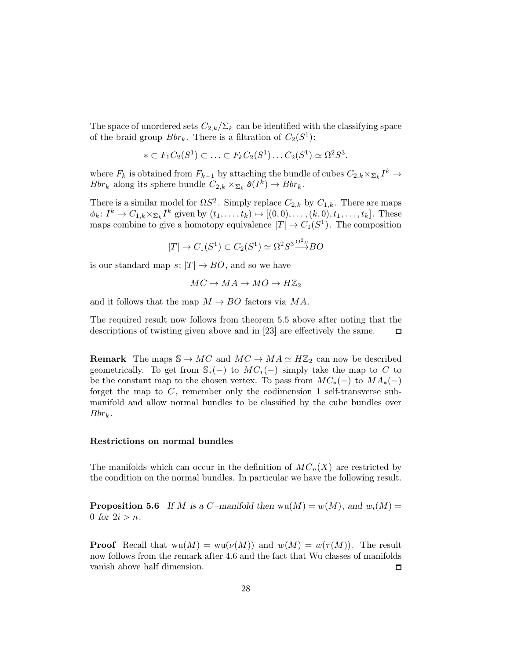The space of unordered sets  $C_{2,k}/\Sigma_k$  can be identified with the classifying space of the braid group  $Bbr_k$ . There is a filtration of  $C_2(S^1)$ :

$$
* \subset F_1C_2(S^1) \subset \ldots \subset F_kC_2(S^1) \ldots C_2(S^1) \simeq \Omega^2 S^3.
$$

where  $F_k$  is obtained from  $F_{k-1}$  by attaching the bundle of cubes  $C_{2,k} \times_{\Sigma_k} I^k \to$ Bbr<sub>k</sub> along its sphere bundle  $C_{2,k} \times_{\Sigma_k} \partial(I^k) \to Bbr_k$ .

There is a similar model for  $\Omega S^2$ . Simply replace  $C_{2,k}$  by  $C_{1,k}$ . There are maps  $\phi_k: I^k \to C_{1,k} \times_{\Sigma_k} I^k$  given by  $(t_1, \ldots, t_k) \mapsto [(0,0), \ldots, (k,0), t_1, \ldots, t_k].$  These maps combine to give a homotopy equivalence  $|T| \to C_1(S^1)$ . The composition

$$
|T| \to C_1(S^1) \subset C_2(S^1) \simeq \Omega^2 S^3 \stackrel{\Omega^2 \nu}{\longrightarrow} BO
$$

is our standard map  $s: |T| \to BO$ , and so we have

$$
MC \to MA \to MO \to H\mathbb{Z}_2
$$

and it follows that the map  $M \to BO$  factors via MA.

The required result now follows from theorem 5.5 above after noting that the descriptions of twisting given above and in [23] are effectively the same. □

**Remark** The maps  $\mathbb{S} \to MC$  and  $MC \to MA \simeq H\mathbb{Z}_2$  can now be described geometrically. To get from  $\mathbb{S}_*(-)$  to  $MC*(-)$  simply take the map to C to be the constant map to the chosen vertex. To pass from  $MC_*(-)$  to  $MA_*(-)$ forget the map to  $C$ , remember only the codimension 1 self-transverse submanifold and allow normal bundles to be classified by the cube bundles over  $Bbr_k$ .

#### Restrictions on normal bundles

The manifolds which can occur in the definition of  $MC_n(X)$  are restricted by the condition on the normal bundles. In particular we have the following result.

**Proposition 5.6** If M is a C-manifold then  $wu(M) = w(M)$ , and  $w<sub>i</sub>(M) =$ 0 for  $2i > n$ .

**Proof** Recall that  $wu(M) = w(u(M))$  and  $w(M) = w(\tau(M))$ . The result now follows from the remark after 4.6 and the fact that Wu classes of manifolds vanish above half dimension.  $\Box$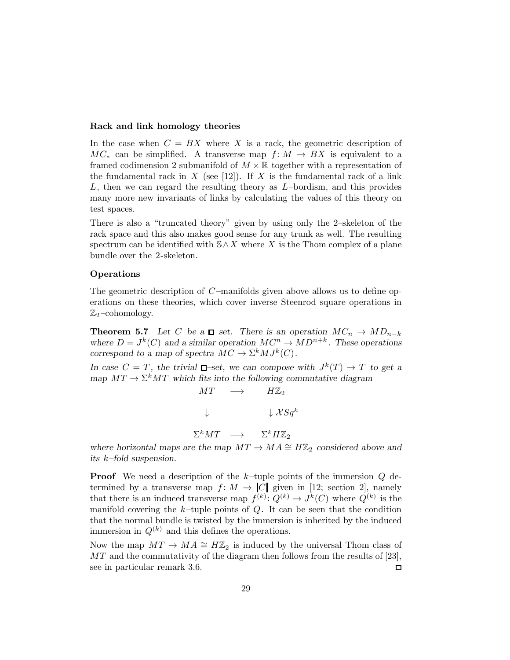#### Rack and link homology theories

In the case when  $C = BX$  where X is a rack, the geometric description of  $MC_*$  can be simplified. A transverse map  $f: M \to BX$  is equivalent to a framed codimension 2 submanifold of  $M \times \mathbb{R}$  together with a representation of the fundamental rack in X (see [12]). If X is the fundamental rack of a link  $L$ , then we can regard the resulting theory as  $L$ -bordism, and this provides many more new invariants of links by calculating the values of this theory on test spaces.

There is also a "truncated theory" given by using only the 2–skeleton of the rack space and this also makes good sense for any trunk as well. The resulting spectrum can be identified with  $\mathcal{S}\wedge X$  where X is the Thom complex of a plane bundle over the 2-skeleton.

#### Operations

The geometric description of  $C$ -manifolds given above allows us to define operations on these theories, which cover inverse Steenrod square operations in  $\mathbb{Z}_2$ -cohomology.

**Theorem 5.7** Let C be a  $\Box$ -set. There is an operation  $MC_n \to MD_{n-k}$ where  $D = J^k(C)$  and a similar operation  $MC^n \to MD^{n+k}$ . These operations *correspond to a map of spectra*  $MC \to \Sigma^k MJ^k(C)$ .

In case  $C = T$ , the trivial  $\Box$ -set, we can compose with  $J^k(T) \to T$  to get a *map*  $MT \to \Sigma^k MT$  which fits into the following commutative diagram

$$
MT \longrightarrow H\mathbb{Z}_2
$$
  
\n
$$
\downarrow \qquad \qquad \downarrow \mathcal{X}Sq^k
$$
  
\n
$$
\Sigma^k MT \longrightarrow \qquad \Sigma^k H\mathbb{Z}_2
$$

*where horizontal maps are the map*  $MT \rightarrow MA \cong H\mathbb{Z}_2$  *considered above and its* k*–fold suspension.*

**Proof** We need a description of the  $k$ -tuple points of the immersion  $Q$  determined by a transverse map  $f: M \to |C|$  given in [12; section 2], namely that there is an induced transverse map  $f^{(k)}: Q^{(k)} \to J^k(C)$  where  $Q^{(k)}$  is the manifold covering the  $k$ -tuple points of  $Q$ . It can be seen that the condition that the normal bundle is twisted by the immersion is inherited by the induced immersion in  $Q^{(k)}$  and this defines the operations.

Now the map  $MT \to MA \cong H\mathbb{Z}_2$  is induced by the universal Thom class of  $MT$  and the commutativity of the diagram then follows from the results of [23], see in particular remark 3.6.  $\Box$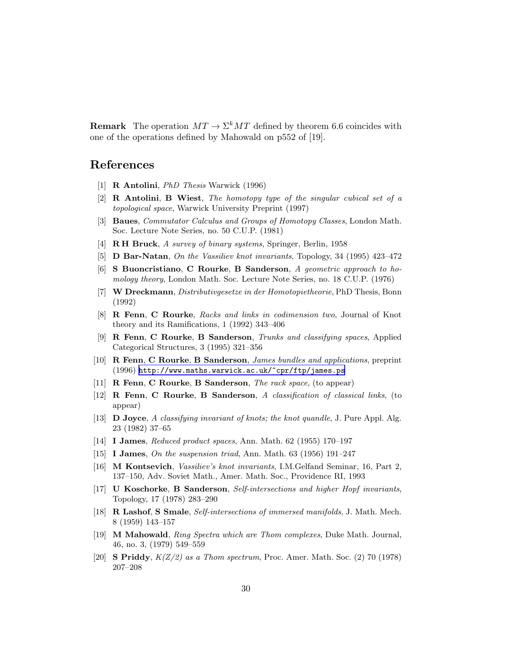**Remark** The operation  $MT \to \Sigma^k MT$  defined by theorem 6.6 coincides with one of the operations defined by Mahowald on p552 of [19].

# References

- [1] R Antolini, PhD Thesis Warwick (1996)
- $[2]$  **R** Antolini, B Wiest, The homotopy type of the singular cubical set of a topological space, Warwick University Preprint (1997)
- [3] Baues, Commutator Calculus and Groups of Homotopy Classes, London Math. Soc. Lecture Note Series, no. 50 C.U.P. (1981)
- [4] R H Bruck, A survey of binary systems, Springer, Berlin, 1958
- [5] D Bar-Natan, On the Vassiliev knot invariants, Topology, 34 (1995) 423–472
- [6] S Buoncristiano, C Rourke, B Sanderson, A geometric approach to homology theory, London Math. Soc. Lecture Note Series, no. 18 C.U.P. (1976)
- [7] W Dreckmann, Distributivgesetze in der Homotopietheorie, PhD Thesis, Bonn (1992)
- [8] **R Fenn, C Rourke**, Racks and links in codimension two, Journal of Knot theory and its Ramifications, 1 (1992) 343–406
- [9] R Fenn, C Rourke, B Sanderson, Trunks and classifying spaces, Applied Categorical Structures, 3 (1995) 321–356
- [10] R Fenn, C Rourke, B Sanderson, James bundles and applications, preprint (1996) <http://www.maths.warwick.ac.uk/~cpr/ftp/james.ps>
- [11] **R Fenn, C Rourke, B Sanderson,** The rack space, (to appear)
- [12] R Fenn, C Rourke, B Sanderson, A classification of classical links, (to appear)
- [13] D Joyce, A classifying invariant of knots; the knot quandle, J. Pure Appl. Alg. 23 (1982) 37–65
- [14] I James, Reduced product spaces, Ann. Math. 62 (1955) 170–197
- [15] I James, On the suspension triad, Ann. Math. 63 (1956) 191–247
- [16] M Kontsevich, Vassiliev's knot invariants, I.M.Gelfand Seminar, 16, Part 2, 137–150, Adv. Soviet Math., Amer. Math. Soc., Providence RI, 1993
- [17] U Koschorke, B Sanderson, Self-intersections and higher Hopf invariants, Topology, 17 (1978) 283–290
- [18] **R Lashof, S Smale**, Self-intersections of immersed manifolds, J. Math. Mech. 8 (1959) 143–157
- [19] M Mahowald, Ring Spectra which are Thom complexes, Duke Math. Journal, 46, no. 3, (1979) 549–559
- [20] S Priddy,  $K(Z/2)$  as a Thom spectrum, Proc. Amer. Math. Soc. (2) 70 (1978) 207–208